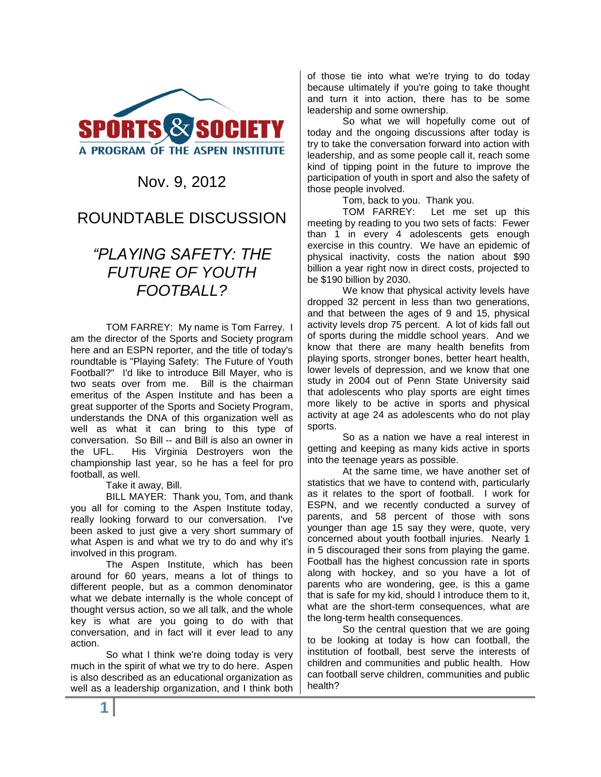

## Nov. 9, 2012

## ROUNDTABLE DISCUSSION

# *"PLAYING SAFETY: THE FUTURE OF YOUTH FOOTBALL?*

TOM FARREY: My name is Tom Farrey. I am the director of the Sports and Society program here and an ESPN reporter, and the title of today's roundtable is "Playing Safety: The Future of Youth Football?" I'd like to introduce Bill Mayer, who is two seats over from me. Bill is the chairman emeritus of the Aspen Institute and has been a great supporter of the Sports and Society Program, understands the DNA of this organization well as well as what it can bring to this type of conversation. So Bill -- and Bill is also an owner in the UFL. His Virginia Destroyers won the championship last year, so he has a feel for pro football, as well.

#### Take it away, Bill.

BILL MAYER: Thank you, Tom, and thank you all for coming to the Aspen Institute today, really looking forward to our conversation. I've been asked to just give a very short summary of what Aspen is and what we try to do and why it's involved in this program.

The Aspen Institute, which has been around for 60 years, means a lot of things to different people, but as a common denominator what we debate internally is the whole concept of thought versus action, so we all talk, and the whole key is what are you going to do with that conversation, and in fact will it ever lead to any action.

So what I think we're doing today is very much in the spirit of what we try to do here. Aspen is also described as an educational organization as well as a leadership organization, and I think both of those tie into what we're trying to do today because ultimately if you're going to take thought and turn it into action, there has to be some leadership and some ownership.

So what we will hopefully come out of today and the ongoing discussions after today is try to take the conversation forward into action with leadership, and as some people call it, reach some kind of tipping point in the future to improve the participation of youth in sport and also the safety of those people involved.

Tom, back to you. Thank you.

TOM FARREY: Let me set up this meeting by reading to you two sets of facts: Fewer than 1 in every 4 adolescents gets enough exercise in this country. We have an epidemic of physical inactivity, costs the nation about \$90 billion a year right now in direct costs, projected to be \$190 billion by 2030.

We know that physical activity levels have dropped 32 percent in less than two generations, and that between the ages of 9 and 15, physical activity levels drop 75 percent. A lot of kids fall out of sports during the middle school years. And we know that there are many health benefits from playing sports, stronger bones, better heart health, lower levels of depression, and we know that one study in 2004 out of Penn State University said that adolescents who play sports are eight times more likely to be active in sports and physical activity at age 24 as adolescents who do not play sports.

So as a nation we have a real interest in getting and keeping as many kids active in sports into the teenage years as possible.

At the same time, we have another set of statistics that we have to contend with, particularly as it relates to the sport of football. I work for ESPN, and we recently conducted a survey of parents, and 58 percent of those with sons younger than age 15 say they were, quote, very concerned about youth football injuries. Nearly 1 in 5 discouraged their sons from playing the game. Football has the highest concussion rate in sports along with hockey, and so you have a lot of parents who are wondering, gee, is this a game that is safe for my kid, should I introduce them to it, what are the short-term consequences, what are the long-term health consequences.

So the central question that we are going to be looking at today is how can football, the institution of football, best serve the interests of children and communities and public health. How can football serve children, communities and public health?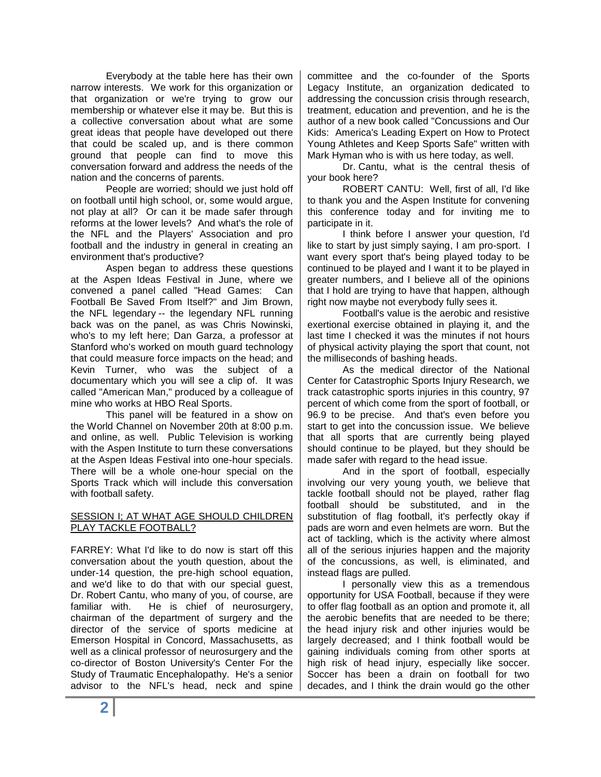Everybody at the table here has their own narrow interests. We work for this organization or that organization or we're trying to grow our membership or whatever else it may be. But this is a collective conversation about what are some great ideas that people have developed out there that could be scaled up, and is there common ground that people can find to move this conversation forward and address the needs of the nation and the concerns of parents.

People are worried; should we just hold off on football until high school, or, some would argue, not play at all? Or can it be made safer through reforms at the lower levels? And what's the role of the NFL and the Players' Association and pro football and the industry in general in creating an environment that's productive?

Aspen began to address these questions at the Aspen Ideas Festival in June, where we convened a panel called "Head Games: Can Football Be Saved From Itself?" and Jim Brown, the NFL legendary -- the legendary NFL running back was on the panel, as was Chris Nowinski, who's to my left here; Dan Garza, a professor at Stanford who's worked on mouth quard technology that could measure force impacts on the head; and Kevin Turner, who was the subject of a documentary which you will see a clip of. It was called "American Man," produced by a colleague of mine who works at HBO Real Sports.

This panel will be featured in a show on the World Channel on November 20th at 8:00 p.m. and online, as well. Public Television is working with the Aspen Institute to turn these conversations at the Aspen Ideas Festival into one-hour specials. There will be a whole one-hour special on the Sports Track which will include this conversation with football safety.

### SESSION I; AT WHAT AGE SHOULD CHILDREN PLAY TACKLE FOOTBALL?

FARREY: What I'd like to do now is start off this conversation about the youth question, about the under-14 question, the pre-high school equation, and we'd like to do that with our special guest, Dr. Robert Cantu, who many of you, of course, are familiar with. He is chief of neurosurgery, chairman of the department of surgery and the director of the service of sports medicine at Emerson Hospital in Concord, Massachusetts, as well as a clinical professor of neurosurgery and the co-director of Boston University's Center For the Study of Traumatic Encephalopathy. He's a senior advisor to the NFL's head, neck and spine

committee and the co-founder of the Sports Legacy Institute, an organization dedicated to addressing the concussion crisis through research, treatment, education and prevention, and he is the author of a new book called "Concussions and Our Kids: America's Leading Expert on How to Protect Young Athletes and Keep Sports Safe" written with Mark Hyman who is with us here today, as well.

Dr. Cantu, what is the central thesis of your book here?

ROBERT CANTU: Well, first of all, I'd like to thank you and the Aspen Institute for convening this conference today and for inviting me to participate in it.

I think before I answer your question, I'd like to start by just simply saying, I am pro-sport. I want every sport that's being played today to be continued to be played and I want it to be played in greater numbers, and I believe all of the opinions that I hold are trying to have that happen, although right now maybe not everybody fully sees it.

Football's value is the aerobic and resistive exertional exercise obtained in playing it, and the last time I checked it was the minutes if not hours of physical activity playing the sport that count, not the milliseconds of bashing heads.

As the medical director of the National Center for Catastrophic Sports Injury Research, we track catastrophic sports injuries in this country, 97 percent of which come from the sport of football, or 96.9 to be precise. And that's even before you start to get into the concussion issue. We believe that all sports that are currently being played should continue to be played, but they should be made safer with regard to the head issue.

And in the sport of football, especially involving our very young youth, we believe that tackle football should not be played, rather flag football should be substituted, and in the substitution of flag football, it's perfectly okay if pads are worn and even helmets are worn. But the act of tackling, which is the activity where almost all of the serious injuries happen and the majority of the concussions, as well, is eliminated, and instead flags are pulled.

I personally view this as a tremendous opportunity for USA Football, because if they were to offer flag football as an option and promote it, all the aerobic benefits that are needed to be there; the head injury risk and other injuries would be largely decreased; and I think football would be gaining individuals coming from other sports at high risk of head injury, especially like soccer. Soccer has been a drain on football for two decades, and I think the drain would go the other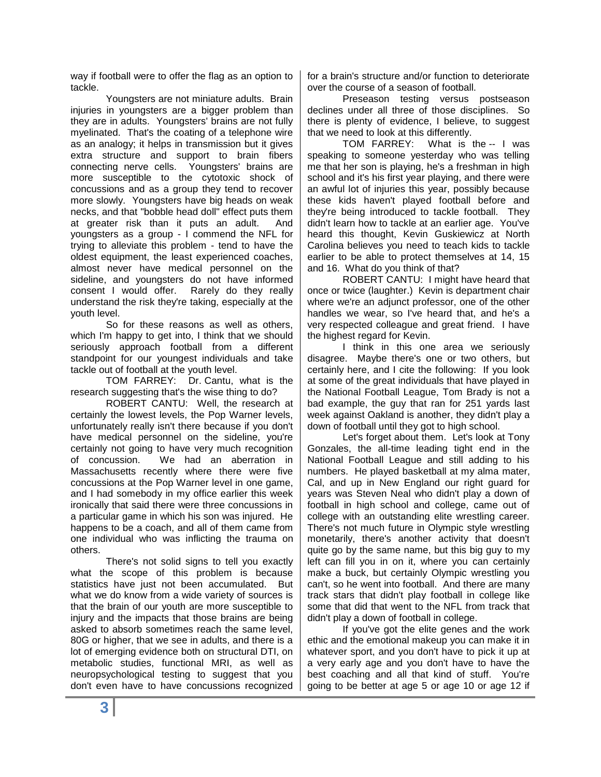way if football were to offer the flag as an option to tackle.

Youngsters are not miniature adults. Brain injuries in youngsters are a bigger problem than they are in adults. Youngsters' brains are not fully myelinated. That's the coating of a telephone wire as an analogy; it helps in transmission but it gives extra structure and support to brain fibers connecting nerve cells. Youngsters' brains are more susceptible to the cytotoxic shock of concussions and as a group they tend to recover more slowly. Youngsters have big heads on weak necks, and that "bobble head doll" effect puts them at greater risk than it puts an adult. And youngsters as a group - I commend the NFL for trying to alleviate this problem - tend to have the oldest equipment, the least experienced coaches, almost never have medical personnel on the sideline, and youngsters do not have informed consent I would offer. Rarely do they really understand the risk they're taking, especially at the youth level.

So for these reasons as well as others, which I'm happy to get into, I think that we should seriously approach football from a different standpoint for our youngest individuals and take tackle out of football at the youth level.

TOM FARREY: Dr. Cantu, what is the research suggesting that's the wise thing to do?

ROBERT CANTU: Well, the research at certainly the lowest levels, the Pop Warner levels, unfortunately really isn't there because if you don't have medical personnel on the sideline, you're certainly not going to have very much recognition of concussion. We had an aberration in Massachusetts recently where there were five concussions at the Pop Warner level in one game, and I had somebody in my office earlier this week ironically that said there were three concussions in a particular game in which his son was injured. He happens to be a coach, and all of them came from one individual who was inflicting the trauma on others.

There's not solid signs to tell you exactly what the scope of this problem is because statistics have just not been accumulated. But what we do know from a wide variety of sources is that the brain of our youth are more susceptible to injury and the impacts that those brains are being asked to absorb sometimes reach the same level, 80G or higher, that we see in adults, and there is a lot of emerging evidence both on structural DTI, on metabolic studies, functional MRI, as well as neuropsychological testing to suggest that you don't even have to have concussions recognized

for a brain's structure and/or function to deteriorate over the course of a season of football.

Preseason testing versus postseason declines under all three of those disciplines. So there is plenty of evidence, I believe, to suggest that we need to look at this differently.

TOM FARREY: What is the -- I was speaking to someone yesterday who was telling me that her son is playing, he's a freshman in high school and it's his first year playing, and there were an awful lot of injuries this year, possibly because these kids haven't played football before and they're being introduced to tackle football. They didn't learn how to tackle at an earlier age. You've heard this thought, Kevin Guskiewicz at North Carolina believes you need to teach kids to tackle earlier to be able to protect themselves at 14, 15 and 16. What do you think of that?

ROBERT CANTU: I might have heard that once or twice (laughter.) Kevin is department chair where we're an adjunct professor, one of the other handles we wear, so I've heard that, and he's a very respected colleague and great friend. I have the highest regard for Kevin.

I think in this one area we seriously disagree. Maybe there's one or two others, but certainly here, and I cite the following: If you look at some of the great individuals that have played in the National Football League, Tom Brady is not a bad example, the guy that ran for 251 yards last week against Oakland is another, they didn't play a down of football until they got to high school.

Let's forget about them. Let's look at Tony Gonzales, the all-time leading tight end in the National Football League and still adding to his numbers. He played basketball at my alma mater, Cal, and up in New England our right guard for years was Steven Neal who didn't play a down of football in high school and college, came out of college with an outstanding elite wrestling career. There's not much future in Olympic style wrestling monetarily, there's another activity that doesn't quite go by the same name, but this big guy to my left can fill you in on it, where you can certainly make a buck, but certainly Olympic wrestling you can't, so he went into football. And there are many track stars that didn't play football in college like some that did that went to the NFL from track that didn't play a down of football in college.

If you've got the elite genes and the work ethic and the emotional makeup you can make it in whatever sport, and you don't have to pick it up at a very early age and you don't have to have the best coaching and all that kind of stuff. You're going to be better at age 5 or age 10 or age 12 if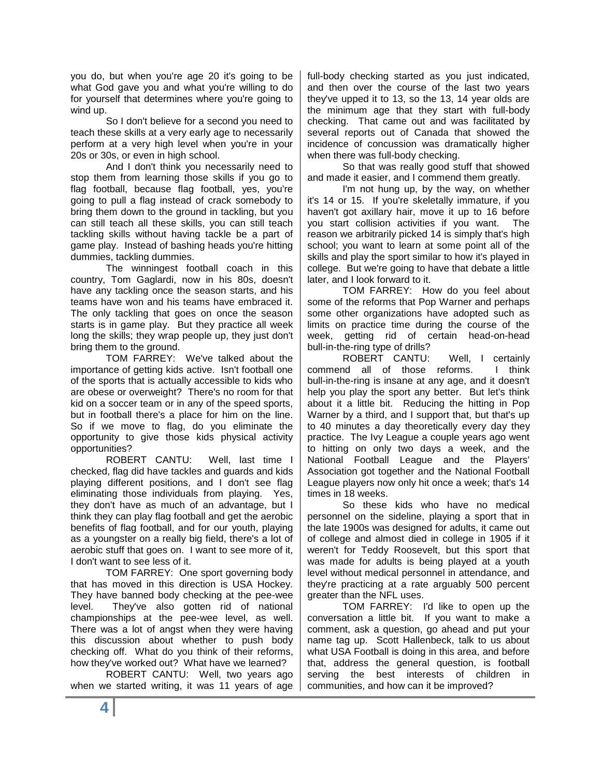you do, but when you're age 20 it's going to be what God gave you and what you're willing to do for yourself that determines where you're going to wind up.

So I don't believe for a second you need to teach these skills at a very early age to necessarily perform at a very high level when you're in your 20s or 30s, or even in high school.

And I don't think you necessarily need to stop them from learning those skills if you go to flag football, because flag football, yes, you're going to pull a flag instead of crack somebody to bring them down to the ground in tackling, but you can still teach all these skills, you can still teach tackling skills without having tackle be a part of game play. Instead of bashing heads you're hitting dummies, tackling dummies.

The winningest football coach in this country, Tom Gaglardi, now in his 80s, doesn't have any tackling once the season starts, and his teams have won and his teams have embraced it. The only tackling that goes on once the season starts is in game play. But they practice all week long the skills; they wrap people up, they just don't bring them to the ground.

TOM FARREY: We've talked about the importance of getting kids active. Isn't football one of the sports that is actually accessible to kids who are obese or overweight? There's no room for that kid on a soccer team or in any of the speed sports, but in football there's a place for him on the line. So if we move to flag, do you eliminate the opportunity to give those kids physical activity opportunities?

ROBERT CANTU: Well, last time I checked, flag did have tackles and guards and kids playing different positions, and I don't see flag eliminating those individuals from playing. Yes, they don't have as much of an advantage, but I think they can play flag football and get the aerobic benefits of flag football, and for our youth, playing as a youngster on a really big field, there's a lot of aerobic stuff that goes on. I want to see more of it, I don't want to see less of it.

TOM FARREY: One sport governing body that has moved in this direction is USA Hockey. They have banned body checking at the pee-wee level. They've also gotten rid of national championships at the pee-wee level, as well. There was a lot of angst when they were having this discussion about whether to push body checking off. What do you think of their reforms, how they've worked out? What have we learned?

ROBERT CANTU: Well, two years ago when we started writing, it was 11 years of age

full-body checking started as you just indicated, and then over the course of the last two years they've upped it to 13, so the 13, 14 year olds are the minimum age that they start with full-body checking. That came out and was facilitated by several reports out of Canada that showed the incidence of concussion was dramatically higher when there was full-body checking.

So that was really good stuff that showed and made it easier, and I commend them greatly.

I'm not hung up, by the way, on whether it's 14 or 15. If you're skeletally immature, if you haven't got axillary hair, move it up to 16 before you start collision activities if you want. The reason we arbitrarily picked 14 is simply that's high school; you want to learn at some point all of the skills and play the sport similar to how it's played in college. But we're going to have that debate a little later, and I look forward to it.

TOM FARREY: How do you feel about some of the reforms that Pop Warner and perhaps some other organizations have adopted such as limits on practice time during the course of the week, getting rid of certain head-on-head bull-in-the-ring type of drills?

ROBERT CANTU: Well, I certainly commend all of those reforms. I think bull-in-the-ring is insane at any age, and it doesn't help you play the sport any better. But let's think about it a little bit. Reducing the hitting in Pop Warner by a third, and I support that, but that's up to 40 minutes a day theoretically every day they practice. The Ivy League a couple years ago went to hitting on only two days a week, and the National Football League and the Players' Association got together and the National Football League players now only hit once a week; that's 14 times in 18 weeks.

So these kids who have no medical personnel on the sideline, playing a sport that in the late 1900s was designed for adults, it came out of college and almost died in college in 1905 if it weren't for Teddy Roosevelt, but this sport that was made for adults is being played at a youth level without medical personnel in attendance, and they're practicing at a rate arguably 500 percent greater than the NFL uses.

TOM FARREY: I'd like to open up the conversation a little bit. If you want to make a comment, ask a question, go ahead and put your name tag up. Scott Hallenbeck, talk to us about what USA Football is doing in this area, and before that, address the general question, is football serving the best interests of children in communities, and how can it be improved?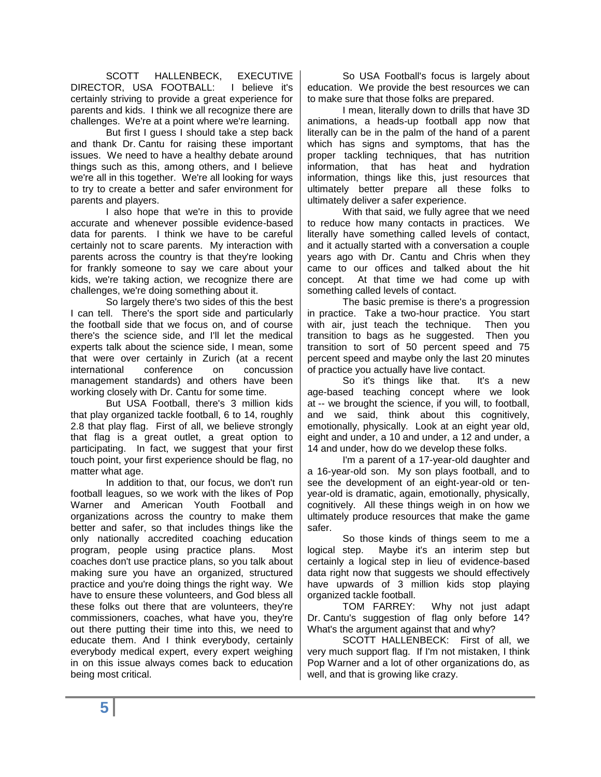SCOTT HALLENBECK, EXECUTIVE DIRECTOR, USA FOOTBALL: I believe it's certainly striving to provide a great experience for parents and kids. I think we all recognize there are challenges. We're at a point where we're learning.

But first I guess I should take a step back and thank Dr. Cantu for raising these important issues. We need to have a healthy debate around things such as this, among others, and I believe we're all in this together. We're all looking for ways to try to create a better and safer environment for parents and players.

I also hope that we're in this to provide accurate and whenever possible evidence-based data for parents. I think we have to be careful certainly not to scare parents. My interaction with parents across the country is that they're looking for frankly someone to say we care about your kids, we're taking action, we recognize there are challenges, we're doing something about it.

So largely there's two sides of this the best I can tell. There's the sport side and particularly the football side that we focus on, and of course there's the science side, and I'll let the medical experts talk about the science side, I mean, some that were over certainly in Zurich (at a recent international conference on concussion management standards) and others have been working closely with Dr. Cantu for some time.

But USA Football, there's 3 million kids that play organized tackle football, 6 to 14, roughly 2.8 that play flag. First of all, we believe strongly that flag is a great outlet, a great option to participating. In fact, we suggest that your first touch point, your first experience should be flag, no matter what age.

In addition to that, our focus, we don't run football leagues, so we work with the likes of Pop Warner and American Youth Football and organizations across the country to make them better and safer, so that includes things like the only nationally accredited coaching education program, people using practice plans. Most coaches don't use practice plans, so you talk about making sure you have an organized, structured practice and you're doing things the right way. We have to ensure these volunteers, and God bless all these folks out there that are volunteers, they're commissioners, coaches, what have you, they're out there putting their time into this, we need to educate them. And I think everybody, certainly everybody medical expert, every expert weighing in on this issue always comes back to education being most critical.

So USA Football's focus is largely about education. We provide the best resources we can to make sure that those folks are prepared.

I mean, literally down to drills that have 3D animations, a heads-up football app now that literally can be in the palm of the hand of a parent which has signs and symptoms, that has the proper tackling techniques, that has nutrition information, that has heat and hydration information, things like this, just resources that ultimately better prepare all these folks to ultimately deliver a safer experience.

With that said, we fully agree that we need to reduce how many contacts in practices. We literally have something called levels of contact, and it actually started with a conversation a couple years ago with Dr. Cantu and Chris when they came to our offices and talked about the hit concept. At that time we had come up with something called levels of contact.

The basic premise is there's a progression in practice. Take a two-hour practice. You start with air, just teach the technique. Then you transition to bags as he suggested. Then you transition to sort of 50 percent speed and 75 percent speed and maybe only the last 20 minutes of practice you actually have live contact.

So it's things like that. It's a new age-based teaching concept where we look at -- we brought the science, if you will, to football, and we said, think about this cognitively, emotionally, physically. Look at an eight year old, eight and under, a 10 and under, a 12 and under, a 14 and under, how do we develop these folks.

I'm a parent of a 17-year-old daughter and a 16-year-old son. My son plays football, and to see the development of an eight-year-old or tenyear-old is dramatic, again, emotionally, physically, cognitively. All these things weigh in on how we ultimately produce resources that make the game safer.

So those kinds of things seem to me a logical step. Maybe it's an interim step but certainly a logical step in lieu of evidence-based data right now that suggests we should effectively have upwards of 3 million kids stop playing organized tackle football.

TOM FARREY: Why not just adapt Dr. Cantu's suggestion of flag only before 14? What's the argument against that and why?

SCOTT HALLENBECK: First of all, we very much support flag. If I'm not mistaken, I think Pop Warner and a lot of other organizations do, as well, and that is growing like crazy.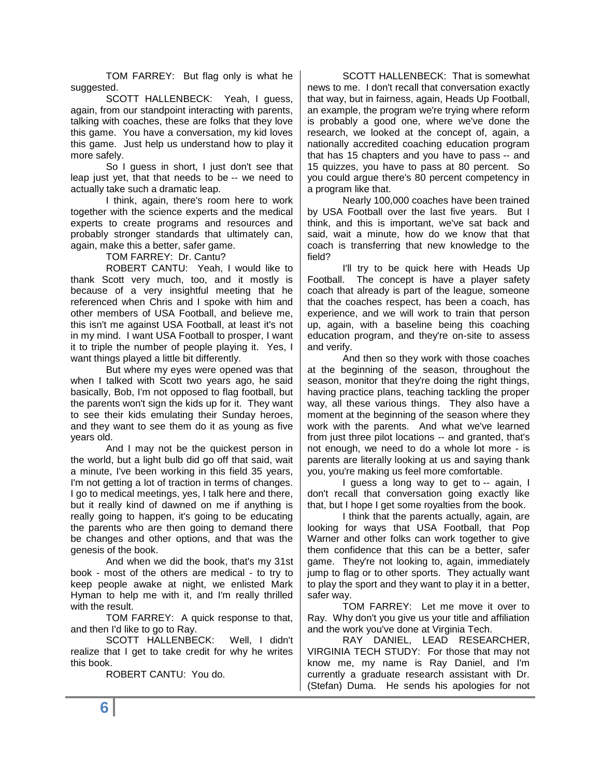TOM FARREY: But flag only is what he suggested.

SCOTT HALLENBECK: Yeah, I guess, again, from our standpoint interacting with parents, talking with coaches, these are folks that they love this game. You have a conversation, my kid loves this game. Just help us understand how to play it more safely.

So I guess in short, I just don't see that leap just yet, that that needs to be -- we need to actually take such a dramatic leap.

I think, again, there's room here to work together with the science experts and the medical experts to create programs and resources and probably stronger standards that ultimately can, again, make this a better, safer game.

TOM FARREY: Dr. Cantu?

ROBERT CANTU: Yeah, I would like to thank Scott very much, too, and it mostly is because of a very insightful meeting that he referenced when Chris and I spoke with him and other members of USA Football, and believe me, this isn't me against USA Football, at least it's not in my mind. I want USA Football to prosper, I want it to triple the number of people playing it. Yes, I want things played a little bit differently.

But where my eyes were opened was that when I talked with Scott two years ago, he said basically, Bob, I'm not opposed to flag football, but the parents won't sign the kids up for it. They want to see their kids emulating their Sunday heroes, and they want to see them do it as young as five years old.

And I may not be the quickest person in the world, but a light bulb did go off that said, wait a minute, I've been working in this field 35 years, I'm not getting a lot of traction in terms of changes. I go to medical meetings, yes, I talk here and there, but it really kind of dawned on me if anything is really going to happen, it's going to be educating the parents who are then going to demand there be changes and other options, and that was the genesis of the book.

And when we did the book, that's my 31st book - most of the others are medical - to try to keep people awake at night, we enlisted Mark Hyman to help me with it, and I'm really thrilled with the result.

TOM FARREY: A quick response to that, and then I'd like to go to Ray.

SCOTT HALLENBECK: Well, I didn't realize that I get to take credit for why he writes this book.

ROBERT CANTU: You do.

SCOTT HALLENBECK: That is somewhat news to me. I don't recall that conversation exactly that way, but in fairness, again, Heads Up Football, an example, the program we're trying where reform is probably a good one, where we've done the research, we looked at the concept of, again, a nationally accredited coaching education program that has 15 chapters and you have to pass -- and 15 quizzes, you have to pass at 80 percent. So you could argue there's 80 percent competency in a program like that.

Nearly 100,000 coaches have been trained by USA Football over the last five years. But I think, and this is important, we've sat back and said, wait a minute, how do we know that that coach is transferring that new knowledge to the field?

I'll try to be quick here with Heads Up Football. The concept is have a player safety coach that already is part of the league, someone that the coaches respect, has been a coach, has experience, and we will work to train that person up, again, with a baseline being this coaching education program, and they're on-site to assess and verify.

And then so they work with those coaches at the beginning of the season, throughout the season, monitor that they're doing the right things, having practice plans, teaching tackling the proper way, all these various things. They also have a moment at the beginning of the season where they work with the parents. And what we've learned from just three pilot locations -- and granted, that's not enough, we need to do a whole lot more - is parents are literally looking at us and saying thank you, you're making us feel more comfortable.

I guess a long way to get to -- again, I don't recall that conversation going exactly like that, but I hope I get some royalties from the book.

I think that the parents actually, again, are looking for ways that USA Football, that Pop Warner and other folks can work together to give them confidence that this can be a better, safer game. They're not looking to, again, immediately jump to flag or to other sports. They actually want to play the sport and they want to play it in a better, safer way.

TOM FARREY: Let me move it over to Ray. Why don't you give us your title and affiliation and the work you've done at Virginia Tech.

RAY DANIEL, LEAD RESEARCHER, VIRGINIA TECH STUDY: For those that may not know me, my name is Ray Daniel, and I'm currently a graduate research assistant with Dr. (Stefan) Duma. He sends his apologies for not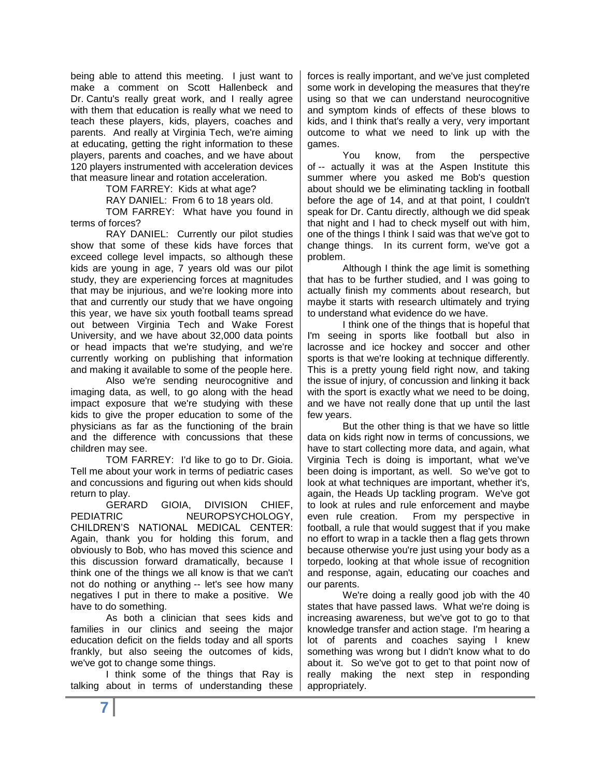being able to attend this meeting. I just want to make a comment on Scott Hallenbeck and Dr. Cantu's really great work, and I really agree with them that education is really what we need to teach these players, kids, players, coaches and parents. And really at Virginia Tech, we're aiming at educating, getting the right information to these players, parents and coaches, and we have about 120 players instrumented with acceleration devices that measure linear and rotation acceleration.

TOM FARREY: Kids at what age?

RAY DANIEL: From 6 to 18 years old.

TOM FARREY: What have you found in terms of forces?

RAY DANIEL: Currently our pilot studies show that some of these kids have forces that exceed college level impacts, so although these kids are young in age, 7 years old was our pilot study, they are experiencing forces at magnitudes that may be injurious, and we're looking more into that and currently our study that we have ongoing this year, we have six youth football teams spread out between Virginia Tech and Wake Forest University, and we have about 32,000 data points or head impacts that we're studying, and we're currently working on publishing that information and making it available to some of the people here.

Also we're sending neurocognitive and imaging data, as well, to go along with the head impact exposure that we're studying with these kids to give the proper education to some of the physicians as far as the functioning of the brain and the difference with concussions that these children may see.

TOM FARREY: I'd like to go to Dr. Gioia. Tell me about your work in terms of pediatric cases and concussions and figuring out when kids should return to play.

GERARD GIOIA, DIVISION CHIEF, PEDIATRIC NEUROPSYCHOLOGY. CHILDREN'S NATIONAL MEDICAL CENTER: Again, thank you for holding this forum, and obviously to Bob, who has moved this science and this discussion forward dramatically, because I think one of the things we all know is that we can't not do nothing or anything -- let's see how many negatives I put in there to make a positive. We have to do something.

As both a clinician that sees kids and families in our clinics and seeing the major education deficit on the fields today and all sports frankly, but also seeing the outcomes of kids, we've got to change some things.

I think some of the things that Ray is talking about in terms of understanding these forces is really important, and we've just completed some work in developing the measures that they're using so that we can understand neurocognitive and symptom kinds of effects of these blows to kids, and I think that's really a very, very important outcome to what we need to link up with the games.

You know, from the perspective of -- actually it was at the Aspen Institute this summer where you asked me Bob's question about should we be eliminating tackling in football before the age of 14, and at that point, I couldn't speak for Dr. Cantu directly, although we did speak that night and I had to check myself out with him, one of the things I think I said was that we've got to change things. In its current form, we've got a problem.

Although I think the age limit is something that has to be further studied, and I was going to actually finish my comments about research, but maybe it starts with research ultimately and trying to understand what evidence do we have.

I think one of the things that is hopeful that I'm seeing in sports like football but also in lacrosse and ice hockey and soccer and other sports is that we're looking at technique differently. This is a pretty young field right now, and taking the issue of injury, of concussion and linking it back with the sport is exactly what we need to be doing, and we have not really done that up until the last few years.

But the other thing is that we have so little data on kids right now in terms of concussions, we have to start collecting more data, and again, what Virginia Tech is doing is important, what we've been doing is important, as well. So we've got to look at what techniques are important, whether it's, again, the Heads Up tackling program. We've got to look at rules and rule enforcement and maybe even rule creation. From my perspective in football, a rule that would suggest that if you make no effort to wrap in a tackle then a flag gets thrown because otherwise you're just using your body as a torpedo, looking at that whole issue of recognition and response, again, educating our coaches and our parents.

We're doing a really good job with the 40 states that have passed laws. What we're doing is increasing awareness, but we've got to go to that knowledge transfer and action stage. I'm hearing a lot of parents and coaches saying I knew something was wrong but I didn't know what to do about it. So we've got to get to that point now of really making the next step in responding appropriately.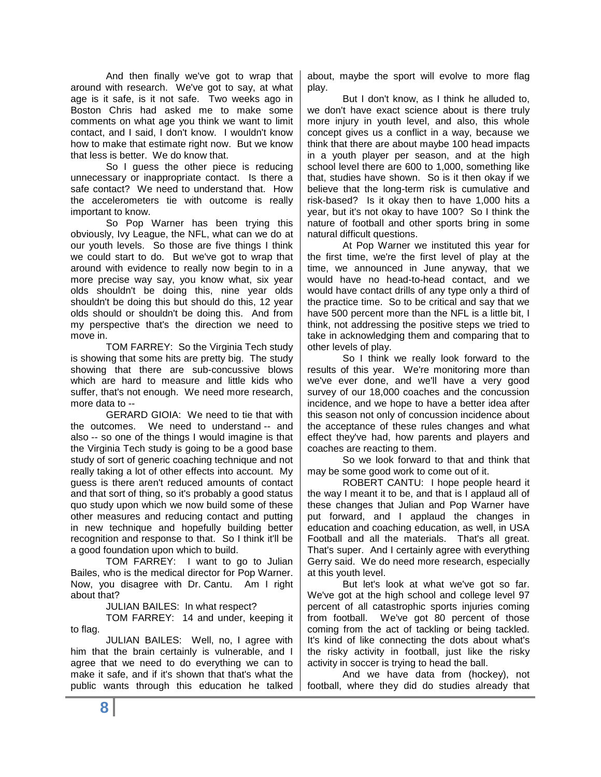And then finally we've got to wrap that around with research. We've got to say, at what age is it safe, is it not safe. Two weeks ago in Boston Chris had asked me to make some comments on what age you think we want to limit contact, and I said, I don't know. I wouldn't know how to make that estimate right now. But we know that less is better. We do know that.

So I guess the other piece is reducing unnecessary or inappropriate contact. Is there a safe contact? We need to understand that. How the accelerometers tie with outcome is really important to know.

So Pop Warner has been trying this obviously, Ivy League, the NFL, what can we do at our youth levels. So those are five things I think we could start to do. But we've got to wrap that around with evidence to really now begin to in a more precise way say, you know what, six year olds shouldn't be doing this, nine year olds shouldn't be doing this but should do this, 12 year olds should or shouldn't be doing this. And from my perspective that's the direction we need to move in.

TOM FARREY: So the Virginia Tech study is showing that some hits are pretty big. The study showing that there are sub-concussive blows which are hard to measure and little kids who suffer, that's not enough. We need more research, more data to --

GERARD GIOIA: We need to tie that with the outcomes. We need to understand -- and also -- so one of the things I would imagine is that the Virginia Tech study is going to be a good base study of sort of generic coaching technique and not really taking a lot of other effects into account. My guess is there aren't reduced amounts of contact and that sort of thing, so it's probably a good status quo study upon which we now build some of these other measures and reducing contact and putting in new technique and hopefully building better recognition and response to that. So I think it'll be a good foundation upon which to build.

TOM FARREY: I want to go to Julian Bailes, who is the medical director for Pop Warner. Now, you disagree with Dr. Cantu. Am I right about that?

JULIAN BAILES: In what respect?

TOM FARREY: 14 and under, keeping it to flag.

JULIAN BAILES: Well, no, I agree with him that the brain certainly is vulnerable, and I agree that we need to do everything we can to make it safe, and if it's shown that that's what the public wants through this education he talked about, maybe the sport will evolve to more flag play.

But I don't know, as I think he alluded to, we don't have exact science about is there truly more injury in youth level, and also, this whole concept gives us a conflict in a way, because we think that there are about maybe 100 head impacts in a youth player per season, and at the high school level there are 600 to 1,000, something like that, studies have shown. So is it then okay if we believe that the long-term risk is cumulative and risk-based? Is it okay then to have 1,000 hits a year, but it's not okay to have 100? So I think the nature of football and other sports bring in some natural difficult questions.

At Pop Warner we instituted this year for the first time, we're the first level of play at the time, we announced in June anyway, that we would have no head-to-head contact, and we would have contact drills of any type only a third of the practice time. So to be critical and say that we have 500 percent more than the NFL is a little bit, I think, not addressing the positive steps we tried to take in acknowledging them and comparing that to other levels of play.

So I think we really look forward to the results of this year. We're monitoring more than we've ever done, and we'll have a very good survey of our 18,000 coaches and the concussion incidence, and we hope to have a better idea after this season not only of concussion incidence about the acceptance of these rules changes and what effect they've had, how parents and players and coaches are reacting to them.

So we look forward to that and think that may be some good work to come out of it.

ROBERT CANTU: I hope people heard it the way I meant it to be, and that is I applaud all of these changes that Julian and Pop Warner have put forward, and I applaud the changes in education and coaching education, as well, in USA Football and all the materials. That's all great. That's super. And I certainly agree with everything Gerry said. We do need more research, especially at this youth level.

But let's look at what we've got so far. We've got at the high school and college level 97 percent of all catastrophic sports injuries coming from football. We've got 80 percent of those coming from the act of tackling or being tackled. It's kind of like connecting the dots about what's the risky activity in football, just like the risky activity in soccer is trying to head the ball.

And we have data from (hockey), not football, where they did do studies already that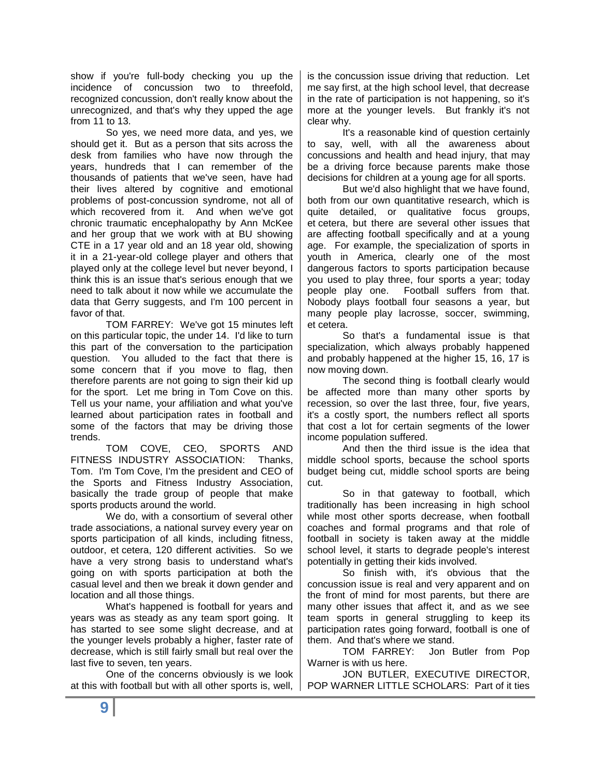show if you're full-body checking you up the incidence of concussion two to threefold, recognized concussion, don't really know about the unrecognized, and that's why they upped the age from 11 to 13.

So yes, we need more data, and yes, we should get it. But as a person that sits across the desk from families who have now through the years, hundreds that I can remember of the thousands of patients that we've seen, have had their lives altered by cognitive and emotional problems of post-concussion syndrome, not all of which recovered from it. And when we've got chronic traumatic encephalopathy by Ann McKee and her group that we work with at BU showing CTE in a 17 year old and an 18 year old, showing it in a 21-year-old college player and others that played only at the college level but never beyond, I think this is an issue that's serious enough that we need to talk about it now while we accumulate the data that Gerry suggests, and I'm 100 percent in favor of that.

TOM FARREY: We've got 15 minutes left on this particular topic, the under 14. I'd like to turn this part of the conversation to the participation question. You alluded to the fact that there is some concern that if you move to flag, then therefore parents are not going to sign their kid up for the sport. Let me bring in Tom Cove on this. Tell us your name, your affiliation and what you've learned about participation rates in football and some of the factors that may be driving those trends.

TOM COVE, CEO, SPORTS AND FITNESS INDUSTRY ASSOCIATION: Thanks, Tom. I'm Tom Cove, I'm the president and CEO of the Sports and Fitness Industry Association, basically the trade group of people that make sports products around the world.

We do, with a consortium of several other trade associations, a national survey every year on sports participation of all kinds, including fitness, outdoor, et cetera, 120 different activities. So we have a very strong basis to understand what's going on with sports participation at both the casual level and then we break it down gender and location and all those things.

What's happened is football for years and years was as steady as any team sport going. It has started to see some slight decrease, and at the younger levels probably a higher, faster rate of decrease, which is still fairly small but real over the last five to seven, ten years.

One of the concerns obviously is we look at this with football but with all other sports is, well,

is the concussion issue driving that reduction. Let me say first, at the high school level, that decrease in the rate of participation is not happening, so it's more at the younger levels. But frankly it's not clear why.

It's a reasonable kind of question certainly to say, well, with all the awareness about concussions and health and head injury, that may be a driving force because parents make those decisions for children at a young age for all sports.

But we'd also highlight that we have found, both from our own quantitative research, which is quite detailed, or qualitative focus groups, et cetera, but there are several other issues that are affecting football specifically and at a young age. For example, the specialization of sports in youth in America, clearly one of the most dangerous factors to sports participation because you used to play three, four sports a year; today people play one. Football suffers from that. Nobody plays football four seasons a year, but many people play lacrosse, soccer, swimming, et cetera.

So that's a fundamental issue is that specialization, which always probably happened and probably happened at the higher 15, 16, 17 is now moving down.

The second thing is football clearly would be affected more than many other sports by recession, so over the last three, four, five years, it's a costly sport, the numbers reflect all sports that cost a lot for certain segments of the lower income population suffered.

And then the third issue is the idea that middle school sports, because the school sports budget being cut, middle school sports are being cut.

So in that gateway to football, which traditionally has been increasing in high school while most other sports decrease, when football coaches and formal programs and that role of football in society is taken away at the middle school level, it starts to degrade people's interest potentially in getting their kids involved.

So finish with, it's obvious that the concussion issue is real and very apparent and on the front of mind for most parents, but there are many other issues that affect it, and as we see team sports in general struggling to keep its participation rates going forward, football is one of them. And that's where we stand.

TOM FARREY: Jon Butler from Pop Warner is with us here.

JON BUTLER, EXECUTIVE DIRECTOR, POP WARNER LITTLE SCHOLARS: Part of it ties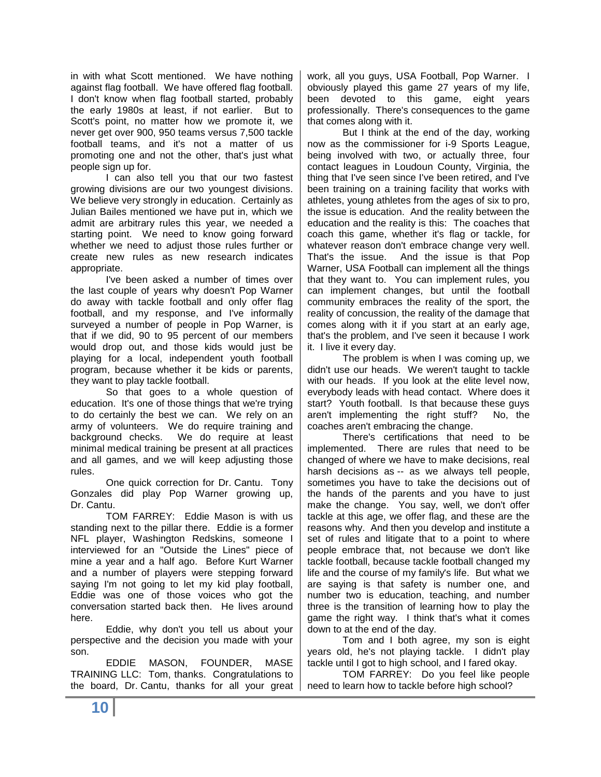in with what Scott mentioned. We have nothing against flag football. We have offered flag football. I don't know when flag football started, probably the early 1980s at least, if not earlier. But to Scott's point, no matter how we promote it, we never get over 900, 950 teams versus 7,500 tackle football teams, and it's not a matter of us promoting one and not the other, that's just what people sign up for.

I can also tell you that our two fastest growing divisions are our two youngest divisions. We believe very strongly in education. Certainly as Julian Bailes mentioned we have put in, which we admit are arbitrary rules this year, we needed a starting point. We need to know going forward whether we need to adjust those rules further or create new rules as new research indicates appropriate.

I've been asked a number of times over the last couple of years why doesn't Pop Warner do away with tackle football and only offer flag football, and my response, and I've informally surveyed a number of people in Pop Warner, is that if we did, 90 to 95 percent of our members would drop out, and those kids would just be playing for a local, independent youth football program, because whether it be kids or parents, they want to play tackle football.

So that goes to a whole question of education. It's one of those things that we're trying to do certainly the best we can. We rely on an army of volunteers. We do require training and background checks. We do require at least minimal medical training be present at all practices and all games, and we will keep adjusting those rules.

One quick correction for Dr. Cantu. Tony Gonzales did play Pop Warner growing up, Dr. Cantu.

TOM FARREY: Eddie Mason is with us standing next to the pillar there. Eddie is a former NFL player, Washington Redskins, someone I interviewed for an "Outside the Lines" piece of mine a year and a half ago. Before Kurt Warner and a number of players were stepping forward saying I'm not going to let my kid play football, Eddie was one of those voices who got the conversation started back then. He lives around here.

Eddie, why don't you tell us about your perspective and the decision you made with your son.

EDDIE MASON, FOUNDER, MASE TRAINING LLC: Tom, thanks. Congratulations to the board, Dr. Cantu, thanks for all your great work, all you guys, USA Football, Pop Warner. I obviously played this game 27 years of my life, been devoted to this game, eight years professionally. There's consequences to the game that comes along with it.

But I think at the end of the day, working now as the commissioner for i-9 Sports League, being involved with two, or actually three, four contact leagues in Loudoun County, Virginia, the thing that I've seen since I've been retired, and I've been training on a training facility that works with athletes, young athletes from the ages of six to pro, the issue is education. And the reality between the education and the reality is this: The coaches that coach this game, whether it's flag or tackle, for whatever reason don't embrace change very well. That's the issue. And the issue is that Pop Warner, USA Football can implement all the things that they want to. You can implement rules, you can implement changes, but until the football community embraces the reality of the sport, the reality of concussion, the reality of the damage that comes along with it if you start at an early age, that's the problem, and I've seen it because I work it. I live it every day.

The problem is when I was coming up, we didn't use our heads. We weren't taught to tackle with our heads. If you look at the elite level now, everybody leads with head contact. Where does it start? Youth football. Is that because these guys aren't implementing the right stuff? No, the coaches aren't embracing the change.

There's certifications that need to be implemented. There are rules that need to be changed of where we have to make decisions, real harsh decisions as -- as we always tell people, sometimes you have to take the decisions out of the hands of the parents and you have to just make the change. You say, well, we don't offer tackle at this age, we offer flag, and these are the reasons why. And then you develop and institute a set of rules and litigate that to a point to where people embrace that, not because we don't like tackle football, because tackle football changed my life and the course of my family's life. But what we are saying is that safety is number one, and number two is education, teaching, and number three is the transition of learning how to play the game the right way. I think that's what it comes down to at the end of the day.

Tom and I both agree, my son is eight years old, he's not playing tackle. I didn't play tackle until I got to high school, and I fared okay.

TOM FARREY: Do you feel like people need to learn how to tackle before high school?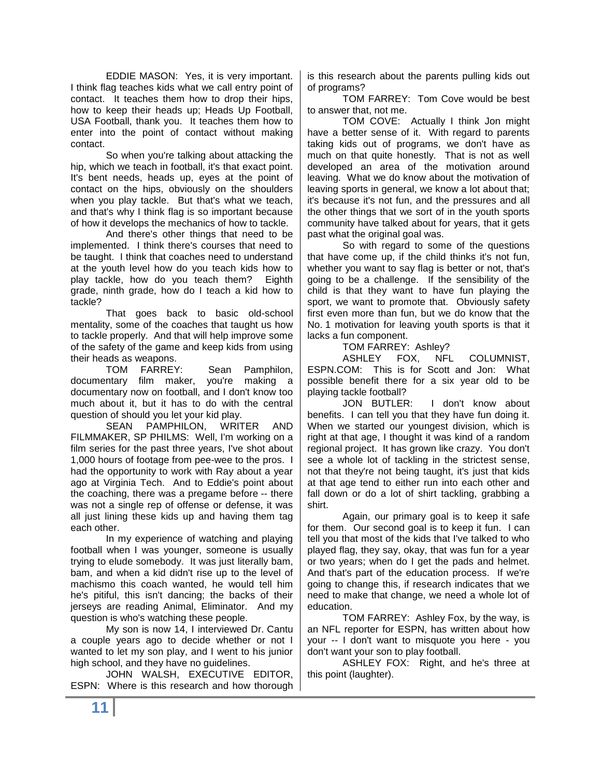EDDIE MASON: Yes, it is very important. I think flag teaches kids what we call entry point of contact. It teaches them how to drop their hips, how to keep their heads up; Heads Up Football, USA Football, thank you. It teaches them how to enter into the point of contact without making contact.

So when you're talking about attacking the hip, which we teach in football, it's that exact point. It's bent needs, heads up, eyes at the point of contact on the hips, obviously on the shoulders when you play tackle. But that's what we teach, and that's why I think flag is so important because of how it develops the mechanics of how to tackle.

And there's other things that need to be implemented. I think there's courses that need to be taught. I think that coaches need to understand at the youth level how do you teach kids how to play tackle, how do you teach them? Eighth grade, ninth grade, how do I teach a kid how to tackle?

That goes back to basic old-school mentality, some of the coaches that taught us how to tackle properly. And that will help improve some of the safety of the game and keep kids from using their heads as weapons.

TOM FARREY: Sean Pamphilon, documentary film maker, you're making a documentary now on football, and I don't know too much about it, but it has to do with the central question of should you let your kid play.

SEAN PAMPHILON, WRITER AND FILMMAKER, SP PHILMS: Well, I'm working on a film series for the past three years, I've shot about 1,000 hours of footage from pee-wee to the pros. I had the opportunity to work with Ray about a year ago at Virginia Tech. And to Eddie's point about the coaching, there was a pregame before -- there was not a single rep of offense or defense, it was all just lining these kids up and having them tag each other.

In my experience of watching and playing football when I was younger, someone is usually trying to elude somebody. It was just literally bam, bam, and when a kid didn't rise up to the level of machismo this coach wanted, he would tell him he's pitiful, this isn't dancing; the backs of their jerseys are reading Animal, Eliminator. And my question is who's watching these people.

My son is now 14, I interviewed Dr. Cantu a couple years ago to decide whether or not I wanted to let my son play, and I went to his junior high school, and they have no guidelines.

JOHN WALSH, EXECUTIVE EDITOR, ESPN: Where is this research and how thorough is this research about the parents pulling kids out of programs?

TOM FARREY: Tom Cove would be best to answer that, not me.

TOM COVE: Actually I think Jon might have a better sense of it. With regard to parents taking kids out of programs, we don't have as much on that quite honestly. That is not as well developed an area of the motivation around leaving. What we do know about the motivation of leaving sports in general, we know a lot about that; it's because it's not fun, and the pressures and all the other things that we sort of in the youth sports community have talked about for years, that it gets past what the original goal was.

So with regard to some of the questions that have come up, if the child thinks it's not fun, whether you want to say flag is better or not, that's going to be a challenge. If the sensibility of the child is that they want to have fun playing the sport, we want to promote that. Obviously safety first even more than fun, but we do know that the No. 1 motivation for leaving youth sports is that it lacks a fun component.

TOM FARREY: Ashley?

ASHLEY FOX, NFL COLUMNIST, ESPN.COM: This is for Scott and Jon: What possible benefit there for a six year old to be

playing tackle football?<br>JON BUTLER: I don't know about benefits. I can tell you that they have fun doing it. When we started our youngest division, which is right at that age, I thought it was kind of a random regional project. It has grown like crazy. You don't see a whole lot of tackling in the strictest sense, not that they're not being taught, it's just that kids at that age tend to either run into each other and fall down or do a lot of shirt tackling, grabbing a shirt.

Again, our primary goal is to keep it safe for them. Our second goal is to keep it fun. I can tell you that most of the kids that I've talked to who played flag, they say, okay, that was fun for a year or two years; when do I get the pads and helmet. And that's part of the education process. If we're going to change this, if research indicates that we need to make that change, we need a whole lot of education.

TOM FARREY: Ashley Fox, by the way, is an NFL reporter for ESPN, has written about how your -- I don't want to misquote you here - you don't want your son to play football.

ASHLEY FOX: Right, and he's three at this point (laughter).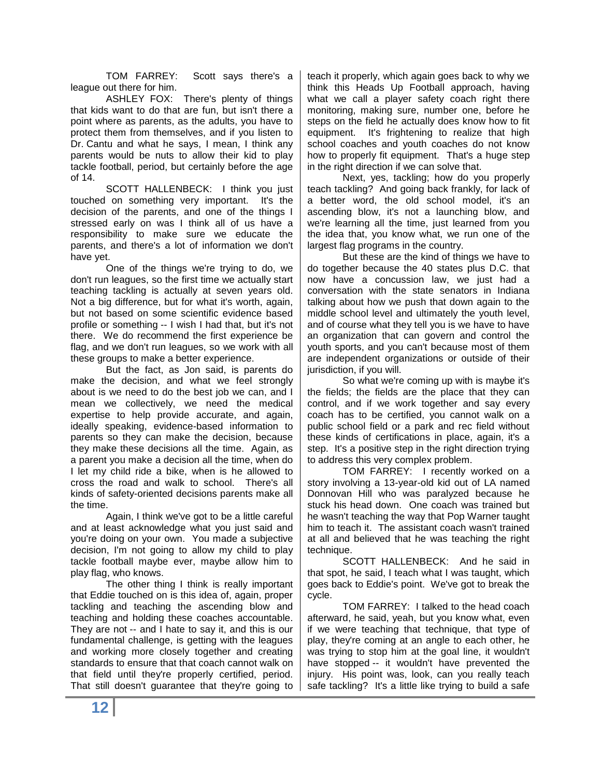TOM FARREY: Scott says there's a league out there for him.

ASHLEY FOX: There's plenty of things that kids want to do that are fun, but isn't there a point where as parents, as the adults, you have to protect them from themselves, and if you listen to Dr. Cantu and what he says, I mean, I think any parents would be nuts to allow their kid to play tackle football, period, but certainly before the age of 14.

SCOTT HALLENBECK: I think you just touched on something very important. It's the decision of the parents, and one of the things I stressed early on was I think all of us have a responsibility to make sure we educate the parents, and there's a lot of information we don't have yet.

One of the things we're trying to do, we don't run leagues, so the first time we actually start teaching tackling is actually at seven years old. Not a big difference, but for what it's worth, again, but not based on some scientific evidence based profile or something -- I wish I had that, but it's not there. We do recommend the first experience be flag, and we don't run leagues, so we work with all these groups to make a better experience.

But the fact, as Jon said, is parents do make the decision, and what we feel strongly about is we need to do the best job we can, and I mean we collectively, we need the medical expertise to help provide accurate, and again, ideally speaking, evidence-based information to parents so they can make the decision, because they make these decisions all the time. Again, as a parent you make a decision all the time, when do I let my child ride a bike, when is he allowed to cross the road and walk to school. There's all kinds of safety-oriented decisions parents make all the time.

Again, I think we've got to be a little careful and at least acknowledge what you just said and you're doing on your own. You made a subjective decision, I'm not going to allow my child to play tackle football maybe ever, maybe allow him to play flag, who knows.

The other thing I think is really important that Eddie touched on is this idea of, again, proper tackling and teaching the ascending blow and teaching and holding these coaches accountable. They are not -- and I hate to say it, and this is our fundamental challenge, is getting with the leagues and working more closely together and creating standards to ensure that that coach cannot walk on that field until they're properly certified, period. That still doesn't guarantee that they're going to

teach it properly, which again goes back to why we think this Heads Up Football approach, having what we call a player safety coach right there monitoring, making sure, number one, before he steps on the field he actually does know how to fit equipment. It's frightening to realize that high school coaches and youth coaches do not know how to properly fit equipment. That's a huge step in the right direction if we can solve that.

Next, yes, tackling; how do you properly teach tackling? And going back frankly, for lack of a better word, the old school model, it's an ascending blow, it's not a launching blow, and we're learning all the time, just learned from you the idea that, you know what, we run one of the largest flag programs in the country.

But these are the kind of things we have to do together because the 40 states plus D.C. that now have a concussion law, we just had a conversation with the state senators in Indiana talking about how we push that down again to the middle school level and ultimately the youth level, and of course what they tell you is we have to have an organization that can govern and control the youth sports, and you can't because most of them are independent organizations or outside of their jurisdiction, if you will.

So what we're coming up with is maybe it's the fields; the fields are the place that they can control, and if we work together and say every coach has to be certified, you cannot walk on a public school field or a park and rec field without these kinds of certifications in place, again, it's a step. It's a positive step in the right direction trying to address this very complex problem.

TOM FARREY: I recently worked on a story involving a 13-year-old kid out of LA named Donnovan Hill who was paralyzed because he stuck his head down. One coach was trained but he wasn't teaching the way that Pop Warner taught him to teach it. The assistant coach wasn't trained at all and believed that he was teaching the right technique.

SCOTT HALLENBECK: And he said in that spot, he said, I teach what I was taught, which goes back to Eddie's point. We've got to break the cycle.

TOM FARREY: I talked to the head coach afterward, he said, yeah, but you know what, even if we were teaching that technique, that type of play, they're coming at an angle to each other, he was trying to stop him at the goal line, it wouldn't have stopped -- it wouldn't have prevented the injury. His point was, look, can you really teach safe tackling? It's a little like trying to build a safe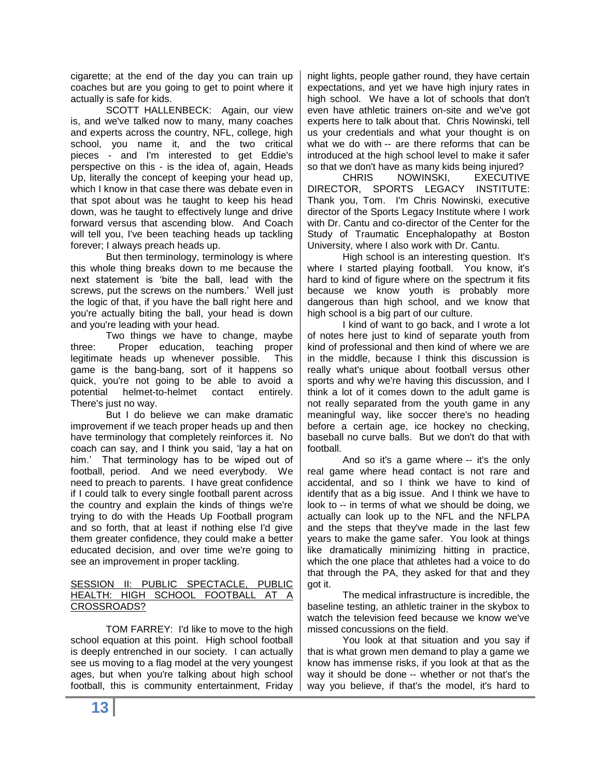cigarette; at the end of the day you can train up coaches but are you going to get to point where it actually is safe for kids.

SCOTT HALLENBECK: Again, our view is, and we've talked now to many, many coaches and experts across the country, NFL, college, high school, you name it, and the two critical pieces - and I'm interested to get Eddie's perspective on this - is the idea of, again, Heads Up, literally the concept of keeping your head up, which I know in that case there was debate even in that spot about was he taught to keep his head down, was he taught to effectively lunge and drive forward versus that ascending blow. And Coach will tell you, I've been teaching heads up tackling forever; I always preach heads up.

But then terminology, terminology is where this whole thing breaks down to me because the next statement is 'bite the ball, lead with the screws, put the screws on the numbers.' Well just the logic of that, if you have the ball right here and you're actually biting the ball, your head is down and you're leading with your head.

Two things we have to change, maybe three: Proper education, teaching proper legitimate heads up whenever possible. This game is the bang-bang, sort of it happens so quick, you're not going to be able to avoid a potential helmet-to-helmet contact entirely. There's just no way.

But I do believe we can make dramatic improvement if we teach proper heads up and then have terminology that completely reinforces it. No coach can say, and I think you said, 'lay a hat on him.' That terminology has to be wiped out of football, period. And we need everybody. We need to preach to parents. I have great confidence if I could talk to every single football parent across the country and explain the kinds of things we're trying to do with the Heads Up Football program and so forth, that at least if nothing else I'd give them greater confidence, they could make a better educated decision, and over time we're going to see an improvement in proper tackling.

### SESSION II: PUBLIC SPECTACLE, PUBLIC HEALTH: HIGH SCHOOL FOOTBALL AT A CROSSROADS?

TOM FARREY: I'd like to move to the high school equation at this point. High school football is deeply entrenched in our society. I can actually see us moving to a flag model at the very youngest ages, but when you're talking about high school football, this is community entertainment, Friday night lights, people gather round, they have certain expectations, and yet we have high injury rates in high school. We have a lot of schools that don't even have athletic trainers on-site and we've got experts here to talk about that. Chris Nowinski, tell us your credentials and what your thought is on what we do with -- are there reforms that can be introduced at the high school level to make it safer so that we don't have as many kids being injured?

CHRIS NOWINSKI, EXECUTIVE DIRECTOR, SPORTS LEGACY INSTITUTE: Thank you, Tom. I'm Chris Nowinski, executive director of the Sports Legacy Institute where I work with Dr. Cantu and co-director of the Center for the Study of Traumatic Encephalopathy at Boston University, where I also work with Dr. Cantu.

High school is an interesting question. It's where I started playing football. You know, it's hard to kind of figure where on the spectrum it fits because we know youth is probably more dangerous than high school, and we know that high school is a big part of our culture.

I kind of want to go back, and I wrote a lot of notes here just to kind of separate youth from kind of professional and then kind of where we are in the middle, because I think this discussion is really what's unique about football versus other sports and why we're having this discussion, and I think a lot of it comes down to the adult game is not really separated from the youth game in any meaningful way, like soccer there's no heading before a certain age, ice hockey no checking, baseball no curve balls. But we don't do that with football.

And so it's a game where -- it's the only real game where head contact is not rare and accidental, and so I think we have to kind of identify that as a big issue. And I think we have to look to -- in terms of what we should be doing, we actually can look up to the NFL and the NFLPA and the steps that they've made in the last few years to make the game safer. You look at things like dramatically minimizing hitting in practice, which the one place that athletes had a voice to do that through the PA, they asked for that and they got it.

The medical infrastructure is incredible, the baseline testing, an athletic trainer in the skybox to watch the television feed because we know we've missed concussions on the field.

You look at that situation and you say if that is what grown men demand to play a game we know has immense risks, if you look at that as the way it should be done -- whether or not that's the way you believe, if that's the model, it's hard to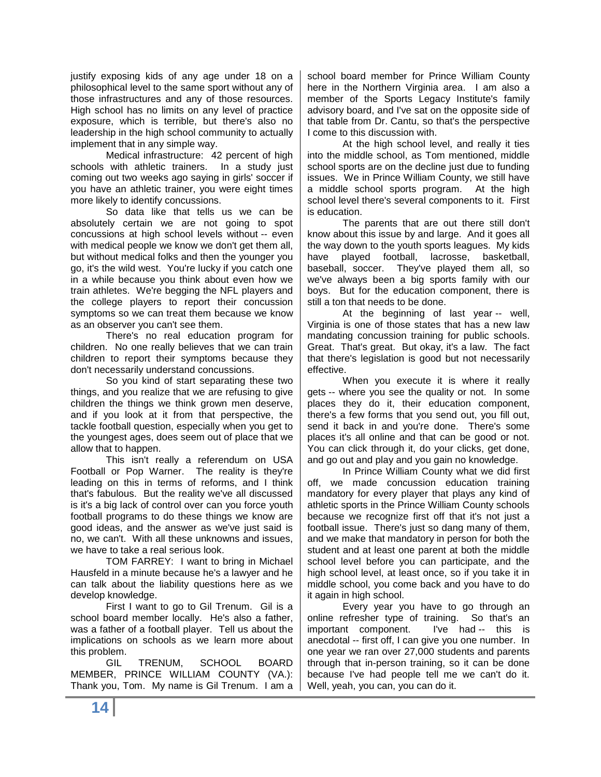justify exposing kids of any age under 18 on a philosophical level to the same sport without any of those infrastructures and any of those resources. High school has no limits on any level of practice exposure, which is terrible, but there's also no leadership in the high school community to actually implement that in any simple way.

Medical infrastructure: 42 percent of high schools with athletic trainers. In a study just coming out two weeks ago saying in girls' soccer if you have an athletic trainer, you were eight times more likely to identify concussions.

So data like that tells us we can be absolutely certain we are not going to spot concussions at high school levels without -- even with medical people we know we don't get them all, but without medical folks and then the younger you go, it's the wild west. You're lucky if you catch one in a while because you think about even how we train athletes. We're begging the NFL players and the college players to report their concussion symptoms so we can treat them because we know as an observer you can't see them.

There's no real education program for children. No one really believes that we can train children to report their symptoms because they don't necessarily understand concussions.

So you kind of start separating these two things, and you realize that we are refusing to give children the things we think grown men deserve, and if you look at it from that perspective, the tackle football question, especially when you get to the youngest ages, does seem out of place that we allow that to happen.

This isn't really a referendum on USA Football or Pop Warner. The reality is they're leading on this in terms of reforms, and I think that's fabulous. But the reality we've all discussed is it's a big lack of control over can you force youth football programs to do these things we know are good ideas, and the answer as we've just said is no, we can't. With all these unknowns and issues, we have to take a real serious look.

TOM FARREY: I want to bring in Michael Hausfeld in a minute because he's a lawyer and he can talk about the liability questions here as we develop knowledge.

First I want to go to Gil Trenum. Gil is a school board member locally. He's also a father, was a father of a football player. Tell us about the implications on schools as we learn more about this problem.

GIL TRENUM, SCHOOL BOARD MEMBER, PRINCE WILLIAM COUNTY (VA.): Thank you, Tom. My name is Gil Trenum. I am a school board member for Prince William County here in the Northern Virginia area. I am also a member of the Sports Legacy Institute's family advisory board, and I've sat on the opposite side of that table from Dr. Cantu, so that's the perspective I come to this discussion with.

At the high school level, and really it ties into the middle school, as Tom mentioned, middle school sports are on the decline just due to funding issues. We in Prince William County, we still have a middle school sports program. At the high school level there's several components to it. First is education.

The parents that are out there still don't know about this issue by and large. And it goes all the way down to the youth sports leagues. My kids have played football, lacrosse, basketball, baseball, soccer. They've played them all, so we've always been a big sports family with our boys. But for the education component, there is still a ton that needs to be done.

At the beginning of last year -- well, Virginia is one of those states that has a new law mandating concussion training for public schools. Great. That's great. But okay, it's a law. The fact that there's legislation is good but not necessarily effective.

When you execute it is where it really gets -- where you see the quality or not. In some places they do it, their education component, there's a few forms that you send out, you fill out, send it back in and you're done. There's some places it's all online and that can be good or not. You can click through it, do your clicks, get done, and go out and play and you gain no knowledge.

In Prince William County what we did first off, we made concussion education training mandatory for every player that plays any kind of athletic sports in the Prince William County schools because we recognize first off that it's not just a football issue. There's just so dang many of them, and we make that mandatory in person for both the student and at least one parent at both the middle school level before you can participate, and the high school level, at least once, so if you take it in middle school, you come back and you have to do it again in high school.

Every year you have to go through an online refresher type of training. So that's an important component. I've had -- this is anecdotal -- first off, I can give you one number. In one year we ran over 27,000 students and parents through that in-person training, so it can be done because I've had people tell me we can't do it. Well, yeah, you can, you can do it.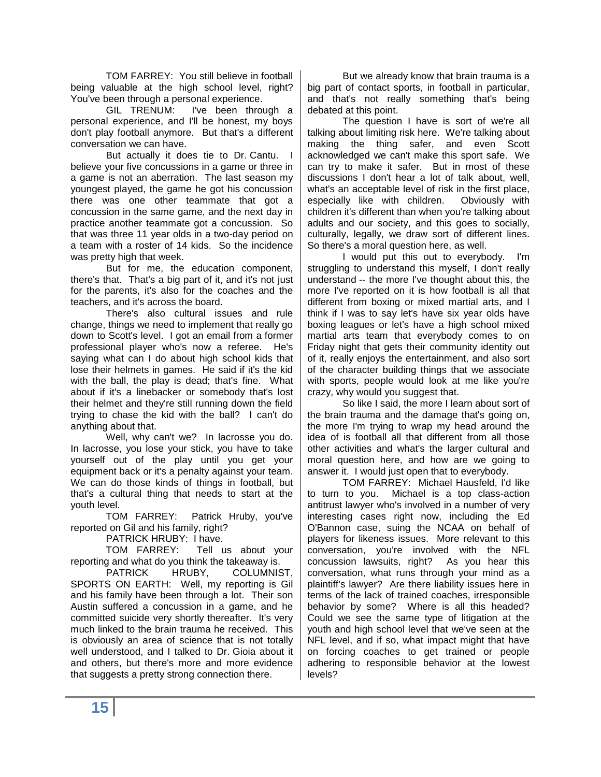TOM FARREY: You still believe in football being valuable at the high school level, right? You've been through a personal experience.

GIL TRENUM: I've been through a personal experience, and I'll be honest, my boys don't play football anymore. But that's a different conversation we can have.

But actually it does tie to Dr. Cantu. I believe your five concussions in a game or three in a game is not an aberration. The last season my youngest played, the game he got his concussion there was one other teammate that got a concussion in the same game, and the next day in practice another teammate got a concussion. So that was three 11 year olds in a two-day period on a team with a roster of 14 kids. So the incidence was pretty high that week.

But for me, the education component, there's that. That's a big part of it, and it's not just for the parents, it's also for the coaches and the teachers, and it's across the board.

There's also cultural issues and rule change, things we need to implement that really go down to Scott's level. I got an email from a former professional player who's now a referee. He's saying what can I do about high school kids that lose their helmets in games. He said if it's the kid with the ball, the play is dead; that's fine. What about if it's a linebacker or somebody that's lost their helmet and they're still running down the field trying to chase the kid with the ball? I can't do anything about that.

Well, why can't we? In lacrosse you do. In lacrosse, you lose your stick, you have to take yourself out of the play until you get your equipment back or it's a penalty against your team. We can do those kinds of things in football, but that's a cultural thing that needs to start at the youth level.

TOM FARREY: Patrick Hruby, you've reported on Gil and his family, right?

PATRICK HRUBY: I have.

TOM FARREY: Tell us about your reporting and what do you think the takeaway is.

PATRICK HRUBY, COLUMNIST, SPORTS ON EARTH: Well, my reporting is Gil and his family have been through a lot. Their son Austin suffered a concussion in a game, and he committed suicide very shortly thereafter. It's very much linked to the brain trauma he received. This is obviously an area of science that is not totally well understood, and I talked to Dr. Gioia about it and others, but there's more and more evidence that suggests a pretty strong connection there.

But we already know that brain trauma is a big part of contact sports, in football in particular, and that's not really something that's being debated at this point.

The question I have is sort of we're all talking about limiting risk here. We're talking about making the thing safer, and even Scott acknowledged we can't make this sport safe. We can try to make it safer. But in most of these discussions I don't hear a lot of talk about, well, what's an acceptable level of risk in the first place, especially like with children. Obviously with children it's different than when you're talking about adults and our society, and this goes to socially, culturally, legally, we draw sort of different lines. So there's a moral question here, as well.

I would put this out to everybody. I'm struggling to understand this myself, I don't really understand -- the more I've thought about this, the more I've reported on it is how football is all that different from boxing or mixed martial arts, and I think if I was to say let's have six year olds have boxing leagues or let's have a high school mixed martial arts team that everybody comes to on Friday night that gets their community identity out of it, really enjoys the entertainment, and also sort of the character building things that we associate with sports, people would look at me like you're crazy, why would you suggest that.

So like I said, the more I learn about sort of the brain trauma and the damage that's going on, the more I'm trying to wrap my head around the idea of is football all that different from all those other activities and what's the larger cultural and moral question here, and how are we going to answer it. I would just open that to everybody.

TOM FARREY: Michael Hausfeld, I'd like to turn to you. Michael is a top class-action antitrust lawyer who's involved in a number of very interesting cases right now, including the Ed O'Bannon case, suing the NCAA on behalf of players for likeness issues. More relevant to this conversation, you're involved with the NFL concussion lawsuits, right? As you hear this conversation, what runs through your mind as a plaintiff's lawyer? Are there liability issues here in terms of the lack of trained coaches, irresponsible behavior by some? Where is all this headed? Could we see the same type of litigation at the youth and high school level that we've seen at the NFL level, and if so, what impact might that have on forcing coaches to get trained or people adhering to responsible behavior at the lowest levels?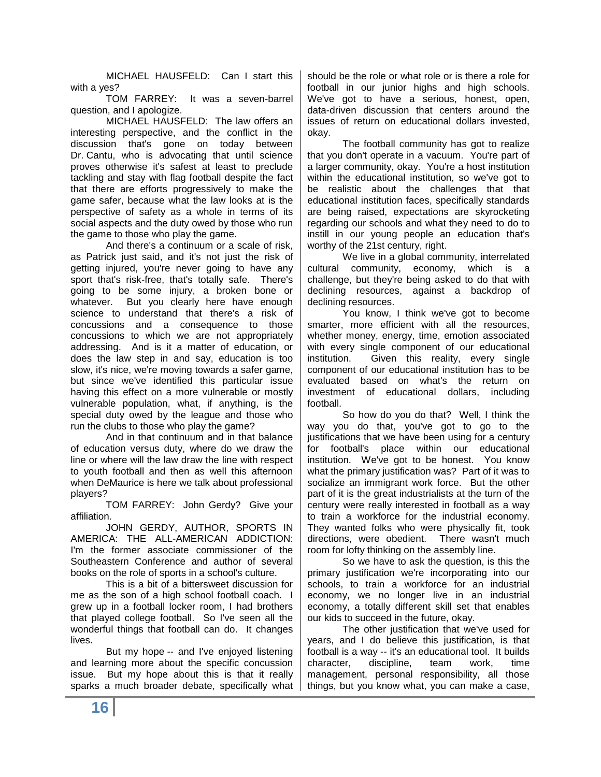MICHAEL HAUSFELD: Can I start this with a yes?

TOM FARREY: It was a seven-barrel question, and I apologize.

MICHAEL HAUSFELD: The law offers an interesting perspective, and the conflict in the discussion that's gone on today between Dr. Cantu, who is advocating that until science proves otherwise it's safest at least to preclude tackling and stay with flag football despite the fact that there are efforts progressively to make the game safer, because what the law looks at is the perspective of safety as a whole in terms of its social aspects and the duty owed by those who run the game to those who play the game.

And there's a continuum or a scale of risk, as Patrick just said, and it's not just the risk of getting injured, you're never going to have any sport that's risk-free, that's totally safe. There's going to be some injury, a broken bone or whatever. But you clearly here have enough science to understand that there's a risk of concussions and a consequence to those concussions to which we are not appropriately addressing. And is it a matter of education, or does the law step in and say, education is too slow, it's nice, we're moving towards a safer game, but since we've identified this particular issue having this effect on a more vulnerable or mostly vulnerable population, what, if anything, is the special duty owed by the league and those who run the clubs to those who play the game?

And in that continuum and in that balance of education versus duty, where do we draw the line or where will the law draw the line with respect to youth football and then as well this afternoon when DeMaurice is here we talk about professional players?

TOM FARREY: John Gerdy? Give your affiliation.

JOHN GERDY, AUTHOR, SPORTS IN AMERICA: THE ALL-AMERICAN ADDICTION: I'm the former associate commissioner of the Southeastern Conference and author of several books on the role of sports in a school's culture.

This is a bit of a bittersweet discussion for me as the son of a high school football coach. I grew up in a football locker room, I had brothers that played college football. So I've seen all the wonderful things that football can do. It changes lives.

But my hope -- and I've enjoyed listening and learning more about the specific concussion issue. But my hope about this is that it really sparks a much broader debate, specifically what should be the role or what role or is there a role for football in our junior highs and high schools. We've got to have a serious, honest, open, data-driven discussion that centers around the issues of return on educational dollars invested, okay.

The football community has got to realize that you don't operate in a vacuum. You're part of a larger community, okay. You're a host institution within the educational institution, so we've got to be realistic about the challenges that that educational institution faces, specifically standards are being raised, expectations are skyrocketing regarding our schools and what they need to do to instill in our young people an education that's worthy of the 21st century, right.

We live in a global community, interrelated cultural community, economy, which is a challenge, but they're being asked to do that with declining resources, against a backdrop of declining resources.

You know, I think we've got to become smarter, more efficient with all the resources, whether money, energy, time, emotion associated with every single component of our educational institution. Given this reality, every single component of our educational institution has to be evaluated based on what's the return on investment of educational dollars, including football.

So how do you do that? Well, I think the way you do that, you've got to go to the justifications that we have been using for a century for football's place within our educational institution. We've got to be honest. You know what the primary justification was? Part of it was to socialize an immigrant work force. But the other part of it is the great industrialists at the turn of the century were really interested in football as a way to train a workforce for the industrial economy. They wanted folks who were physically fit, took directions, were obedient. There wasn't much room for lofty thinking on the assembly line.

So we have to ask the question, is this the primary justification we're incorporating into our schools, to train a workforce for an industrial economy, we no longer live in an industrial economy, a totally different skill set that enables our kids to succeed in the future, okay.

The other justification that we've used for years, and I do believe this justification, is that football is a way -- it's an educational tool. It builds character, discipline, team work, time management, personal responsibility, all those things, but you know what, you can make a case,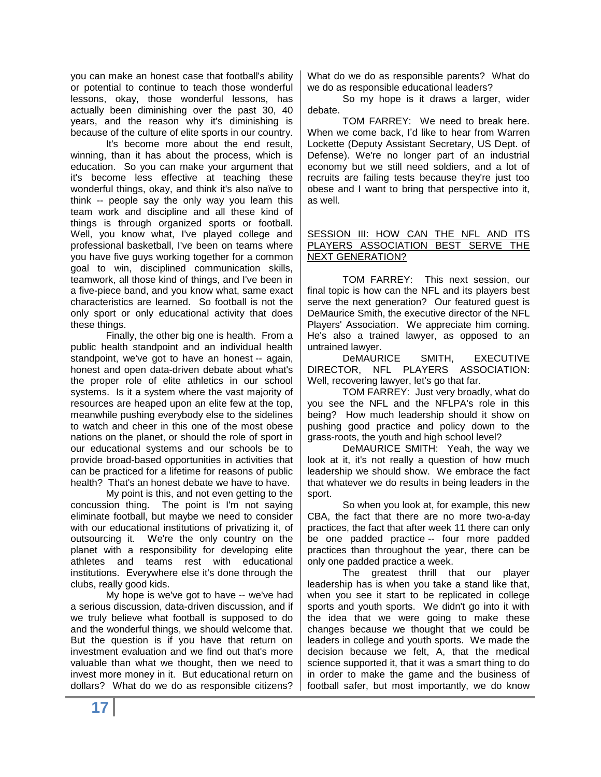you can make an honest case that football's ability or potential to continue to teach those wonderful lessons, okay, those wonderful lessons, has actually been diminishing over the past 30, 40 years, and the reason why it's diminishing is because of the culture of elite sports in our country.

It's become more about the end result, winning, than it has about the process, which is education. So you can make your argument that it's become less effective at teaching these wonderful things, okay, and think it's also naïve to think -- people say the only way you learn this team work and discipline and all these kind of things is through organized sports or football. Well, you know what, I've played college and professional basketball, I've been on teams where you have five guys working together for a common goal to win, disciplined communication skills, teamwork, all those kind of things, and I've been in a five-piece band, and you know what, same exact characteristics are learned. So football is not the only sport or only educational activity that does these things.

Finally, the other big one is health. From a public health standpoint and an individual health standpoint, we've got to have an honest -- again, honest and open data-driven debate about what's the proper role of elite athletics in our school systems. Is it a system where the vast majority of resources are heaped upon an elite few at the top, meanwhile pushing everybody else to the sidelines to watch and cheer in this one of the most obese nations on the planet, or should the role of sport in our educational systems and our schools be to provide broad-based opportunities in activities that can be practiced for a lifetime for reasons of public health? That's an honest debate we have to have.

My point is this, and not even getting to the concussion thing. The point is I'm not saying eliminate football, but maybe we need to consider with our educational institutions of privatizing it, of outsourcing it. We're the only country on the planet with a responsibility for developing elite athletes and teams rest with educational institutions. Everywhere else it's done through the clubs, really good kids.

My hope is we've got to have -- we've had a serious discussion, data-driven discussion, and if we truly believe what football is supposed to do and the wonderful things, we should welcome that. But the question is if you have that return on investment evaluation and we find out that's more valuable than what we thought, then we need to invest more money in it. But educational return on dollars? What do we do as responsible citizens?

What do we do as responsible parents? What do we do as responsible educational leaders?

So my hope is it draws a larger, wider debate.

TOM FARREY: We need to break here. When we come back, I'd like to hear from Warren Lockette (Deputy Assistant Secretary, US Dept. of Defense). We're no longer part of an industrial economy but we still need soldiers, and a lot of recruits are failing tests because they're just too obese and I want to bring that perspective into it, as well.

### SESSION III: HOW CAN THE NFL AND ITS PLAYERS ASSOCIATION BEST SERVE THE NEXT GENERATION?

TOM FARREY: This next session, our final topic is how can the NFL and its players best serve the next generation? Our featured guest is DeMaurice Smith, the executive director of the NFL Players' Association. We appreciate him coming. He's also a trained lawyer, as opposed to an untrained lawyer.

DeMAURICE SMITH, EXECUTIVE DIRECTOR, NFL PLAYERS ASSOCIATION: Well, recovering lawyer, let's go that far.

TOM FARREY: Just very broadly, what do you see the NFL and the NFLPA's role in this being? How much leadership should it show on pushing good practice and policy down to the grass-roots, the youth and high school level?

DeMAURICE SMITH: Yeah, the way we look at it, it's not really a question of how much leadership we should show. We embrace the fact that whatever we do results in being leaders in the sport.

So when you look at, for example, this new CBA, the fact that there are no more two-a-day practices, the fact that after week 11 there can only be one padded practice -- four more padded practices than throughout the year, there can be only one padded practice a week.

The greatest thrill that our player leadership has is when you take a stand like that, when you see it start to be replicated in college sports and youth sports. We didn't go into it with the idea that we were going to make these changes because we thought that we could be leaders in college and youth sports. We made the decision because we felt, A, that the medical science supported it, that it was a smart thing to do in order to make the game and the business of football safer, but most importantly, we do know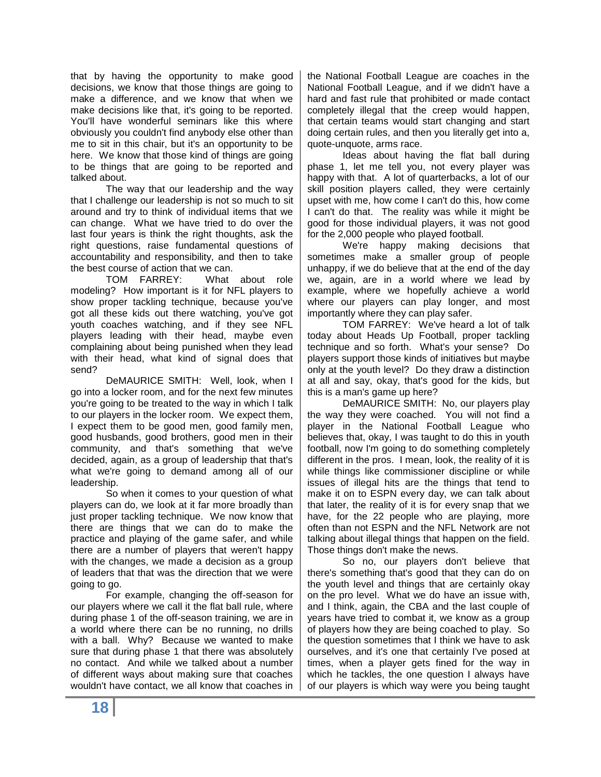that by having the opportunity to make good decisions, we know that those things are going to make a difference, and we know that when we make decisions like that, it's going to be reported. You'll have wonderful seminars like this where obviously you couldn't find anybody else other than me to sit in this chair, but it's an opportunity to be here. We know that those kind of things are going to be things that are going to be reported and talked about.

The way that our leadership and the way that I challenge our leadership is not so much to sit around and try to think of individual items that we can change. What we have tried to do over the last four years is think the right thoughts, ask the right questions, raise fundamental questions of accountability and responsibility, and then to take the best course of action that we can.

TOM FARREY: What about role modeling? How important is it for NFL players to show proper tackling technique, because you've got all these kids out there watching, you've got youth coaches watching, and if they see NFL players leading with their head, maybe even complaining about being punished when they lead with their head, what kind of signal does that send?

DeMAURICE SMITH: Well, look, when I go into a locker room, and for the next few minutes you're going to be treated to the way in which I talk to our players in the locker room. We expect them, I expect them to be good men, good family men, good husbands, good brothers, good men in their community, and that's something that we've decided, again, as a group of leadership that that's what we're going to demand among all of our leadership.

So when it comes to your question of what players can do, we look at it far more broadly than just proper tackling technique. We now know that there are things that we can do to make the practice and playing of the game safer, and while there are a number of players that weren't happy with the changes, we made a decision as a group of leaders that that was the direction that we were going to go.

For example, changing the off-season for our players where we call it the flat ball rule, where during phase 1 of the off-season training, we are in a world where there can be no running, no drills with a ball. Why? Because we wanted to make sure that during phase 1 that there was absolutely no contact. And while we talked about a number of different ways about making sure that coaches wouldn't have contact, we all know that coaches in

the National Football League are coaches in the National Football League, and if we didn't have a hard and fast rule that prohibited or made contact completely illegal that the creep would happen, that certain teams would start changing and start doing certain rules, and then you literally get into a, quote-unquote, arms race.

Ideas about having the flat ball during phase 1, let me tell you, not every player was happy with that. A lot of quarterbacks, a lot of our skill position players called, they were certainly upset with me, how come I can't do this, how come I can't do that. The reality was while it might be good for those individual players, it was not good for the 2,000 people who played football.

We're happy making decisions that sometimes make a smaller group of people unhappy, if we do believe that at the end of the day we, again, are in a world where we lead by example, where we hopefully achieve a world where our players can play longer, and most importantly where they can play safer.

TOM FARREY: We've heard a lot of talk today about Heads Up Football, proper tackling technique and so forth. What's your sense? Do players support those kinds of initiatives but maybe only at the youth level? Do they draw a distinction at all and say, okay, that's good for the kids, but this is a man's game up here?

DeMAURICE SMITH: No, our players play the way they were coached. You will not find a player in the National Football League who believes that, okay, I was taught to do this in youth football, now I'm going to do something completely different in the pros. I mean, look, the reality of it is while things like commissioner discipline or while issues of illegal hits are the things that tend to make it on to ESPN every day, we can talk about that later, the reality of it is for every snap that we have, for the 22 people who are playing, more often than not ESPN and the NFL Network are not talking about illegal things that happen on the field. Those things don't make the news.

So no, our players don't believe that there's something that's good that they can do on the youth level and things that are certainly okay on the pro level. What we do have an issue with, and I think, again, the CBA and the last couple of years have tried to combat it, we know as a group of players how they are being coached to play. So the question sometimes that I think we have to ask ourselves, and it's one that certainly I've posed at times, when a player gets fined for the way in which he tackles, the one question I always have of our players is which way were you being taught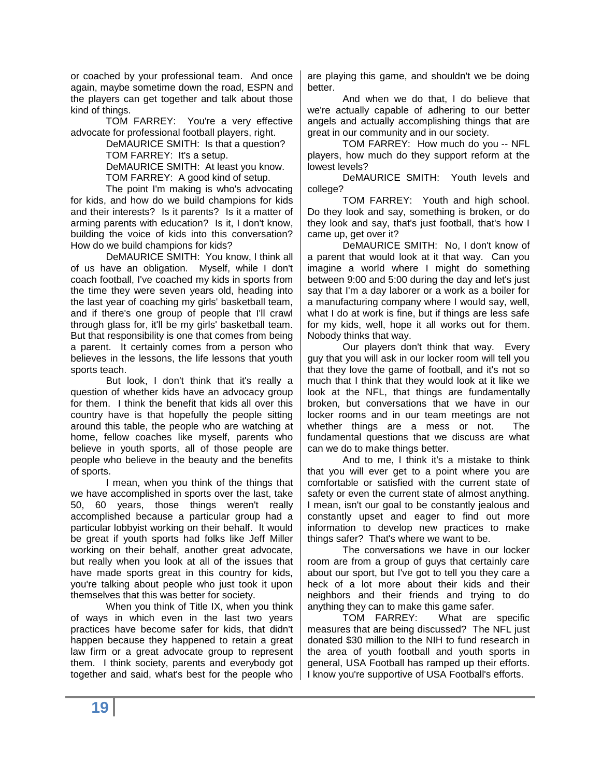or coached by your professional team. And once again, maybe sometime down the road, ESPN and the players can get together and talk about those kind of things.

TOM FARREY: You're a very effective advocate for professional football players, right.

DeMAURICE SMITH: Is that a question? TOM FARREY: It's a setup.

DeMAURICE SMITH: At least you know. TOM FARREY: A good kind of setup.

The point I'm making is who's advocating for kids, and how do we build champions for kids and their interests? Is it parents? Is it a matter of arming parents with education? Is it, I don't know, building the voice of kids into this conversation? How do we build champions for kids?

DeMAURICE SMITH: You know, I think all of us have an obligation. Myself, while I don't coach football, I've coached my kids in sports from the time they were seven years old, heading into the last year of coaching my girls' basketball team, and if there's one group of people that I'll crawl through glass for, it'll be my girls' basketball team. But that responsibility is one that comes from being a parent. It certainly comes from a person who believes in the lessons, the life lessons that youth sports teach.

But look, I don't think that it's really a question of whether kids have an advocacy group for them. I think the benefit that kids all over this country have is that hopefully the people sitting around this table, the people who are watching at home, fellow coaches like myself, parents who believe in youth sports, all of those people are people who believe in the beauty and the benefits of sports.

I mean, when you think of the things that we have accomplished in sports over the last, take 50, 60 years, those things weren't really accomplished because a particular group had a particular lobbyist working on their behalf. It would be great if youth sports had folks like Jeff Miller working on their behalf, another great advocate, but really when you look at all of the issues that have made sports great in this country for kids, you're talking about people who just took it upon themselves that this was better for society.

When you think of Title IX, when you think of ways in which even in the last two years practices have become safer for kids, that didn't happen because they happened to retain a great law firm or a great advocate group to represent them. I think society, parents and everybody got together and said, what's best for the people who are playing this game, and shouldn't we be doing better.

And when we do that, I do believe that we're actually capable of adhering to our better angels and actually accomplishing things that are great in our community and in our society.

TOM FARREY: How much do you -- NFL players, how much do they support reform at the lowest levels?

DeMAURICE SMITH: Youth levels and college?

TOM FARREY: Youth and high school. Do they look and say, something is broken, or do they look and say, that's just football, that's how I came up, get over it?

DeMAURICE SMITH: No, I don't know of a parent that would look at it that way. Can you imagine a world where I might do something between 9:00 and 5:00 during the day and let's just say that I'm a day laborer or a work as a boiler for a manufacturing company where I would say, well, what I do at work is fine, but if things are less safe for my kids, well, hope it all works out for them. Nobody thinks that way.

Our players don't think that way. Every guy that you will ask in our locker room will tell you that they love the game of football, and it's not so much that I think that they would look at it like we look at the NFL, that things are fundamentally broken, but conversations that we have in our locker rooms and in our team meetings are not whether things are a mess or not. The fundamental questions that we discuss are what can we do to make things better.

And to me, I think it's a mistake to think that you will ever get to a point where you are comfortable or satisfied with the current state of safety or even the current state of almost anything. I mean, isn't our goal to be constantly jealous and constantly upset and eager to find out more information to develop new practices to make things safer? That's where we want to be.

The conversations we have in our locker room are from a group of guys that certainly care about our sport, but I've got to tell you they care a heck of a lot more about their kids and their neighbors and their friends and trying to do anything they can to make this game safer.

TOM FARREY: What are specific measures that are being discussed? The NFL just donated \$30 million to the NIH to fund research in the area of youth football and youth sports in general, USA Football has ramped up their efforts. I know you're supportive of USA Football's efforts.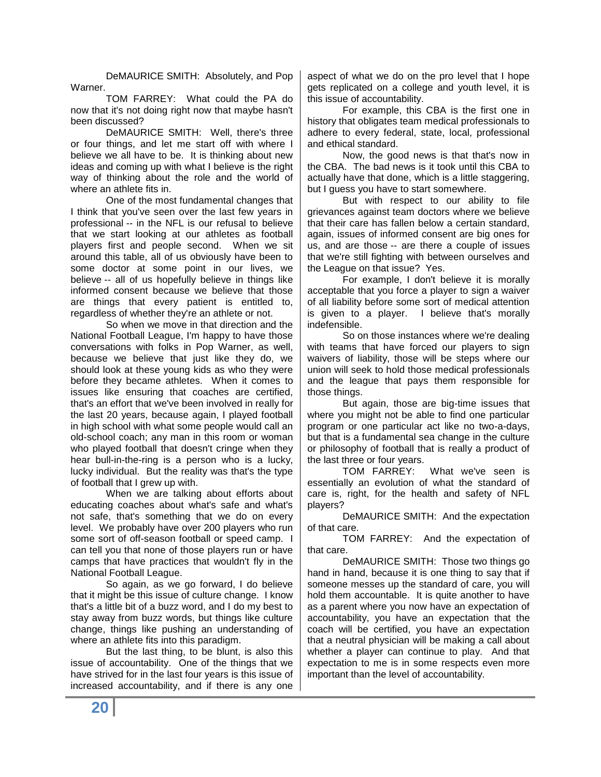DeMAURICE SMITH: Absolutely, and Pop Warner.

TOM FARREY: What could the PA do now that it's not doing right now that maybe hasn't been discussed?

DeMAURICE SMITH: Well, there's three or four things, and let me start off with where I believe we all have to be. It is thinking about new ideas and coming up with what I believe is the right way of thinking about the role and the world of where an athlete fits in.

One of the most fundamental changes that I think that you've seen over the last few years in professional -- in the NFL is our refusal to believe that we start looking at our athletes as football players first and people second. When we sit around this table, all of us obviously have been to some doctor at some point in our lives, we believe -- all of us hopefully believe in things like informed consent because we believe that those are things that every patient is entitled to, regardless of whether they're an athlete or not.

So when we move in that direction and the National Football League, I'm happy to have those conversations with folks in Pop Warner, as well, because we believe that just like they do, we should look at these young kids as who they were before they became athletes. When it comes to issues like ensuring that coaches are certified, that's an effort that we've been involved in really for the last 20 years, because again, I played football in high school with what some people would call an old-school coach; any man in this room or woman who played football that doesn't cringe when they hear bull-in-the-ring is a person who is a lucky, lucky individual. But the reality was that's the type of football that I grew up with.

When we are talking about efforts about educating coaches about what's safe and what's not safe, that's something that we do on every level. We probably have over 200 players who run some sort of off-season football or speed camp. I can tell you that none of those players run or have camps that have practices that wouldn't fly in the National Football League.

So again, as we go forward, I do believe that it might be this issue of culture change. I know that's a little bit of a buzz word, and I do my best to stay away from buzz words, but things like culture change, things like pushing an understanding of where an athlete fits into this paradigm.

But the last thing, to be blunt, is also this issue of accountability. One of the things that we have strived for in the last four years is this issue of increased accountability, and if there is any one aspect of what we do on the pro level that I hope gets replicated on a college and youth level, it is this issue of accountability.

For example, this CBA is the first one in history that obligates team medical professionals to adhere to every federal, state, local, professional and ethical standard.

Now, the good news is that that's now in the CBA. The bad news is it took until this CBA to actually have that done, which is a little staggering, but I guess you have to start somewhere.

But with respect to our ability to file grievances against team doctors where we believe that their care has fallen below a certain standard, again, issues of informed consent are big ones for us, and are those -- are there a couple of issues that we're still fighting with between ourselves and the League on that issue? Yes.

For example, I don't believe it is morally acceptable that you force a player to sign a waiver of all liability before some sort of medical attention is given to a player. I believe that's morally indefensible.

So on those instances where we're dealing with teams that have forced our players to sign waivers of liability, those will be steps where our union will seek to hold those medical professionals and the league that pays them responsible for those things.

But again, those are big-time issues that where you might not be able to find one particular program or one particular act like no two-a-days, but that is a fundamental sea change in the culture or philosophy of football that is really a product of the last three or four years.

TOM FARREY: What we've seen is essentially an evolution of what the standard of care is, right, for the health and safety of NFL players?

DeMAURICE SMITH: And the expectation of that care.

TOM FARREY: And the expectation of that care.

DeMAURICE SMITH: Those two things go hand in hand, because it is one thing to say that if someone messes up the standard of care, you will hold them accountable. It is quite another to have as a parent where you now have an expectation of accountability, you have an expectation that the coach will be certified, you have an expectation that a neutral physician will be making a call about whether a player can continue to play. And that expectation to me is in some respects even more important than the level of accountability.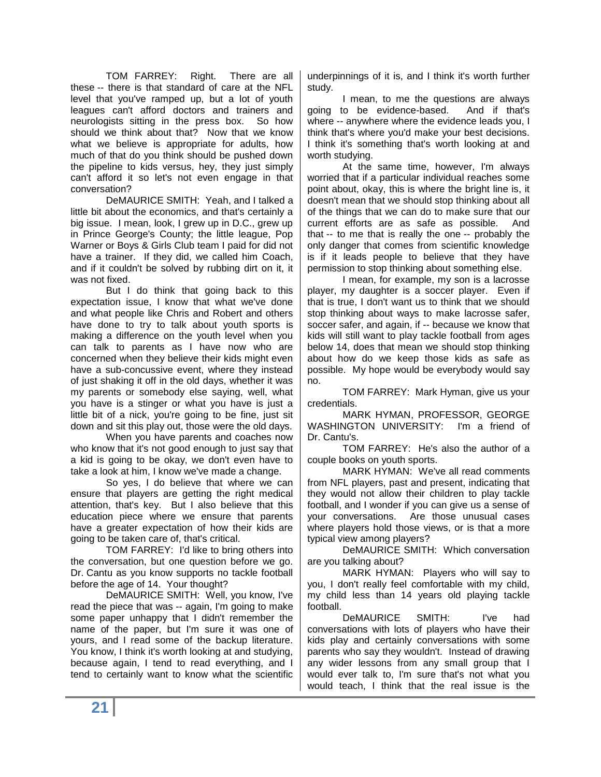TOM FARREY: Right. There are all these -- there is that standard of care at the NFL level that you've ramped up, but a lot of youth leagues can't afford doctors and trainers and neurologists sitting in the press box. So how should we think about that? Now that we know what we believe is appropriate for adults, how much of that do you think should be pushed down the pipeline to kids versus, hey, they just simply can't afford it so let's not even engage in that conversation?

DeMAURICE SMITH: Yeah, and I talked a little bit about the economics, and that's certainly a big issue. I mean, look, I grew up in D.C., grew up in Prince George's County; the little league, Pop Warner or Boys & Girls Club team I paid for did not have a trainer. If they did, we called him Coach, and if it couldn't be solved by rubbing dirt on it, it was not fixed.

But I do think that going back to this expectation issue, I know that what we've done and what people like Chris and Robert and others have done to try to talk about youth sports is making a difference on the youth level when you can talk to parents as I have now who are concerned when they believe their kids might even have a sub-concussive event, where they instead of just shaking it off in the old days, whether it was my parents or somebody else saying, well, what you have is a stinger or what you have is just a little bit of a nick, you're going to be fine, just sit down and sit this play out, those were the old days.

When you have parents and coaches now who know that it's not good enough to just say that a kid is going to be okay, we don't even have to take a look at him, I know we've made a change.

So yes, I do believe that where we can ensure that players are getting the right medical attention, that's key. But I also believe that this education piece where we ensure that parents have a greater expectation of how their kids are going to be taken care of, that's critical.

TOM FARREY: I'd like to bring others into the conversation, but one question before we go. Dr. Cantu as you know supports no tackle football before the age of 14. Your thought?

DeMAURICE SMITH: Well, you know, I've read the piece that was -- again, I'm going to make some paper unhappy that I didn't remember the name of the paper, but I'm sure it was one of yours, and I read some of the backup literature. You know, I think it's worth looking at and studying, because again, I tend to read everything, and I tend to certainly want to know what the scientific

underpinnings of it is, and I think it's worth further study.

I mean, to me the questions are always going to be evidence-based. And if that's where -- anywhere where the evidence leads you, I think that's where you'd make your best decisions. I think it's something that's worth looking at and worth studying.

At the same time, however, I'm always worried that if a particular individual reaches some point about, okay, this is where the bright line is, it doesn't mean that we should stop thinking about all of the things that we can do to make sure that our current efforts are as safe as possible. And that -- to me that is really the one -- probably the only danger that comes from scientific knowledge is if it leads people to believe that they have permission to stop thinking about something else.

I mean, for example, my son is a lacrosse player, my daughter is a soccer player. Even if that is true, I don't want us to think that we should stop thinking about ways to make lacrosse safer, soccer safer, and again, if -- because we know that kids will still want to play tackle football from ages below 14, does that mean we should stop thinking about how do we keep those kids as safe as possible. My hope would be everybody would say no.

TOM FARREY: Mark Hyman, give us your credentials.

MARK HYMAN, PROFESSOR, GEORGE WASHINGTON UNIVERSITY: I'm a friend of Dr. Cantu's.

TOM FARREY: He's also the author of a couple books on youth sports.

MARK HYMAN: We've all read comments from NFL players, past and present, indicating that they would not allow their children to play tackle football, and I wonder if you can give us a sense of your conversations. Are those unusual cases where players hold those views, or is that a more typical view among players?

DeMAURICE SMITH: Which conversation are you talking about?

MARK HYMAN: Players who will say to you, I don't really feel comfortable with my child, my child less than 14 years old playing tackle football.

DeMAURICE SMITH: I've had conversations with lots of players who have their kids play and certainly conversations with some parents who say they wouldn't. Instead of drawing any wider lessons from any small group that I would ever talk to, I'm sure that's not what you would teach, I think that the real issue is the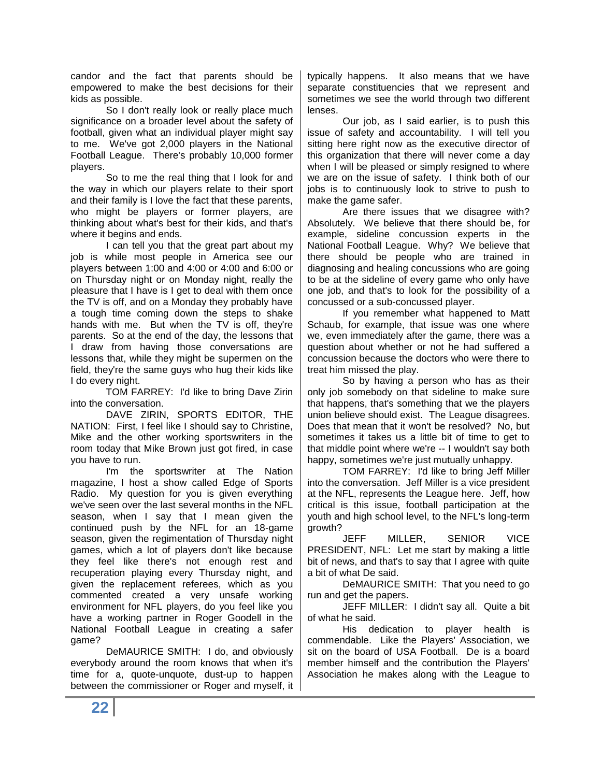candor and the fact that parents should be empowered to make the best decisions for their kids as possible.

So I don't really look or really place much significance on a broader level about the safety of football, given what an individual player might say to me. We've got 2,000 players in the National Football League. There's probably 10,000 former players.

So to me the real thing that I look for and the way in which our players relate to their sport and their family is I love the fact that these parents, who might be players or former players, are thinking about what's best for their kids, and that's where it begins and ends.

I can tell you that the great part about my job is while most people in America see our players between 1:00 and 4:00 or 4:00 and 6:00 or on Thursday night or on Monday night, really the pleasure that I have is I get to deal with them once the TV is off, and on a Monday they probably have a tough time coming down the steps to shake hands with me. But when the TV is off, they're parents. So at the end of the day, the lessons that I draw from having those conversations are lessons that, while they might be supermen on the field, they're the same guys who hug their kids like I do every night.

TOM FARREY: I'd like to bring Dave Zirin into the conversation.

DAVE ZIRIN, SPORTS EDITOR, THE NATION: First, I feel like I should say to Christine, Mike and the other working sportswriters in the room today that Mike Brown just got fired, in case you have to run.

I'm the sportswriter at The Nation magazine, I host a show called Edge of Sports Radio. My question for you is given everything we've seen over the last several months in the NFL season, when I say that I mean given the continued push by the NFL for an 18-game season, given the regimentation of Thursday night games, which a lot of players don't like because they feel like there's not enough rest and recuperation playing every Thursday night, and given the replacement referees, which as you commented created a very unsafe working environment for NFL players, do you feel like you have a working partner in Roger Goodell in the National Football League in creating a safer game?

DeMAURICE SMITH: I do, and obviously everybody around the room knows that when it's time for a, quote-unquote, dust-up to happen between the commissioner or Roger and myself, it

typically happens. It also means that we have separate constituencies that we represent and sometimes we see the world through two different lenses.

Our job, as I said earlier, is to push this issue of safety and accountability. I will tell you sitting here right now as the executive director of this organization that there will never come a day when I will be pleased or simply resigned to where we are on the issue of safety. I think both of our jobs is to continuously look to strive to push to make the game safer.

Are there issues that we disagree with? Absolutely. We believe that there should be, for example, sideline concussion experts in the National Football League. Why? We believe that there should be people who are trained in diagnosing and healing concussions who are going to be at the sideline of every game who only have one job, and that's to look for the possibility of a concussed or a sub-concussed player.

If you remember what happened to Matt Schaub, for example, that issue was one where we, even immediately after the game, there was a question about whether or not he had suffered a concussion because the doctors who were there to treat him missed the play.

So by having a person who has as their only job somebody on that sideline to make sure that happens, that's something that we the players union believe should exist. The League disagrees. Does that mean that it won't be resolved? No, but sometimes it takes us a little bit of time to get to that middle point where we're -- I wouldn't say both happy, sometimes we're just mutually unhappy.

TOM FARREY: I'd like to bring Jeff Miller into the conversation. Jeff Miller is a vice president at the NFL, represents the League here. Jeff, how critical is this issue, football participation at the youth and high school level, to the NFL's long-term growth?

JEFF MILLER, SENIOR VICE PRESIDENT, NFL: Let me start by making a little bit of news, and that's to say that I agree with quite a bit of what De said.

DeMAURICE SMITH: That you need to go run and get the papers.

JEFF MILLER: I didn't say all. Quite a bit of what he said.

His dedication to player health is commendable. Like the Players' Association, we sit on the board of USA Football. De is a board member himself and the contribution the Players' Association he makes along with the League to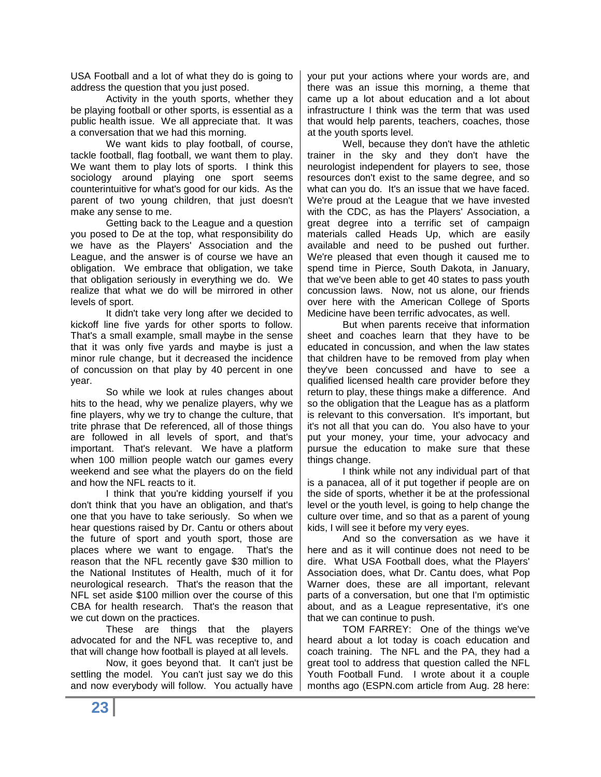USA Football and a lot of what they do is going to address the question that you just posed.

Activity in the youth sports, whether they be playing football or other sports, is essential as a public health issue. We all appreciate that. It was a conversation that we had this morning.

We want kids to play football, of course, tackle football, flag football, we want them to play. We want them to play lots of sports. I think this sociology around playing one sport seems counterintuitive for what's good for our kids. As the parent of two young children, that just doesn't make any sense to me.

Getting back to the League and a question you posed to De at the top, what responsibility do we have as the Players' Association and the League, and the answer is of course we have an obligation. We embrace that obligation, we take that obligation seriously in everything we do. We realize that what we do will be mirrored in other levels of sport.

It didn't take very long after we decided to kickoff line five yards for other sports to follow. That's a small example, small maybe in the sense that it was only five yards and maybe is just a minor rule change, but it decreased the incidence of concussion on that play by 40 percent in one year.

So while we look at rules changes about hits to the head, why we penalize players, why we fine players, why we try to change the culture, that trite phrase that De referenced, all of those things are followed in all levels of sport, and that's important. That's relevant. We have a platform when 100 million people watch our games every weekend and see what the players do on the field and how the NFL reacts to it.

I think that you're kidding yourself if you don't think that you have an obligation, and that's one that you have to take seriously. So when we hear questions raised by Dr. Cantu or others about the future of sport and youth sport, those are places where we want to engage. That's the reason that the NFL recently gave \$30 million to the National Institutes of Health, much of it for neurological research. That's the reason that the NFL set aside \$100 million over the course of this CBA for health research. That's the reason that we cut down on the practices.

These are things that the players advocated for and the NFL was receptive to, and that will change how football is played at all levels.

Now, it goes beyond that. It can't just be settling the model. You can't just say we do this and now everybody will follow. You actually have your put your actions where your words are, and there was an issue this morning, a theme that came up a lot about education and a lot about infrastructure I think was the term that was used that would help parents, teachers, coaches, those at the youth sports level.

Well, because they don't have the athletic trainer in the sky and they don't have the neurologist independent for players to see, those resources don't exist to the same degree, and so what can you do. It's an issue that we have faced. We're proud at the League that we have invested with the CDC, as has the Players' Association, a great degree into a terrific set of campaign materials called Heads Up, which are easily available and need to be pushed out further. We're pleased that even though it caused me to spend time in Pierce, South Dakota, in January, that we've been able to get 40 states to pass youth concussion laws. Now, not us alone, our friends over here with the American College of Sports Medicine have been terrific advocates, as well.

But when parents receive that information sheet and coaches learn that they have to be educated in concussion, and when the law states that children have to be removed from play when they've been concussed and have to see a qualified licensed health care provider before they return to play, these things make a difference. And so the obligation that the League has as a platform is relevant to this conversation. It's important, but it's not all that you can do. You also have to your put your money, your time, your advocacy and pursue the education to make sure that these things change.

I think while not any individual part of that is a panacea, all of it put together if people are on the side of sports, whether it be at the professional level or the youth level, is going to help change the culture over time, and so that as a parent of young kids, I will see it before my very eyes.

And so the conversation as we have it here and as it will continue does not need to be dire. What USA Football does, what the Players' Association does, what Dr. Cantu does, what Pop Warner does, these are all important, relevant parts of a conversation, but one that I'm optimistic about, and as a League representative, it's one that we can continue to push.

TOM FARREY: One of the things we've heard about a lot today is coach education and coach training. The NFL and the PA, they had a great tool to address that question called the NFL Youth Football Fund. I wrote about it a couple months ago (ESPN.com article from Aug. 28 here: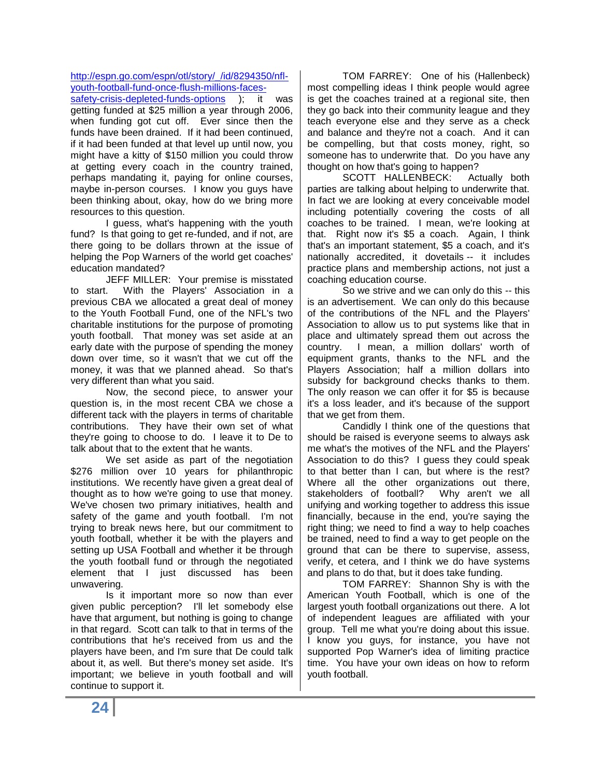### [http://espn.go.com/espn/otl/story/\\_/id/8294350/nfl](http://espn.go.com/espn/otl/story/_/id/8294350/nfl-youth-football-fund-once-flush-millions-faces-safety-crisis-depleted-funds-options)[youth-football-fund-once-flush-millions-faces-](http://espn.go.com/espn/otl/story/_/id/8294350/nfl-youth-football-fund-once-flush-millions-faces-safety-crisis-depleted-funds-options)

[safety-crisis-depleted-funds-options](http://espn.go.com/espn/otl/story/_/id/8294350/nfl-youth-football-fund-once-flush-millions-faces-safety-crisis-depleted-funds-options) ); it was getting funded at \$25 million a year through 2006, when funding got cut off. Ever since then the funds have been drained. If it had been continued, if it had been funded at that level up until now, you might have a kitty of \$150 million you could throw at getting every coach in the country trained, perhaps mandating it, paying for online courses, maybe in-person courses. I know you guys have been thinking about, okay, how do we bring more resources to this question.

I guess, what's happening with the youth fund? Is that going to get re-funded, and if not, are there going to be dollars thrown at the issue of helping the Pop Warners of the world get coaches' education mandated?

JEFF MILLER: Your premise is misstated to start. With the Players' Association in a previous CBA we allocated a great deal of money to the Youth Football Fund, one of the NFL's two charitable institutions for the purpose of promoting youth football. That money was set aside at an early date with the purpose of spending the money down over time, so it wasn't that we cut off the money, it was that we planned ahead. So that's very different than what you said.

Now, the second piece, to answer your question is, in the most recent CBA we chose a different tack with the players in terms of charitable contributions. They have their own set of what they're going to choose to do. I leave it to De to talk about that to the extent that he wants.

We set aside as part of the negotiation \$276 million over 10 years for philanthropic institutions. We recently have given a great deal of thought as to how we're going to use that money. We've chosen two primary initiatives, health and safety of the game and youth football. I'm not trying to break news here, but our commitment to youth football, whether it be with the players and setting up USA Football and whether it be through the youth football fund or through the negotiated element that I just discussed has been unwavering.

Is it important more so now than ever given public perception? I'll let somebody else have that argument, but nothing is going to change in that regard. Scott can talk to that in terms of the contributions that he's received from us and the players have been, and I'm sure that De could talk about it, as well. But there's money set aside. It's important; we believe in youth football and will continue to support it.

TOM FARREY: One of his (Hallenbeck) most compelling ideas I think people would agree is get the coaches trained at a regional site, then they go back into their community league and they teach everyone else and they serve as a check and balance and they're not a coach. And it can be compelling, but that costs money, right, so someone has to underwrite that. Do you have any thought on how that's going to happen?

SCOTT HALLENBECK: Actually both parties are talking about helping to underwrite that. In fact we are looking at every conceivable model including potentially covering the costs of all coaches to be trained. I mean, we're looking at that. Right now it's \$5 a coach. Again, I think that's an important statement, \$5 a coach, and it's nationally accredited, it dovetails -- it includes practice plans and membership actions, not just a coaching education course.

So we strive and we can only do this -- this is an advertisement. We can only do this because of the contributions of the NFL and the Players' Association to allow us to put systems like that in place and ultimately spread them out across the country. I mean, a million dollars' worth of equipment grants, thanks to the NFL and the Players Association; half a million dollars into subsidy for background checks thanks to them. The only reason we can offer it for \$5 is because it's a loss leader, and it's because of the support that we get from them.

Candidly I think one of the questions that should be raised is everyone seems to always ask me what's the motives of the NFL and the Players' Association to do this? I guess they could speak to that better than I can, but where is the rest? Where all the other organizations out there, stakeholders of football? Why aren't we all unifying and working together to address this issue financially, because in the end, you're saying the right thing; we need to find a way to help coaches be trained, need to find a way to get people on the ground that can be there to supervise, assess, verify, et cetera, and I think we do have systems and plans to do that, but it does take funding.

TOM FARREY: Shannon Shy is with the American Youth Football, which is one of the largest youth football organizations out there. A lot of independent leagues are affiliated with your group. Tell me what you're doing about this issue. I know you guys, for instance, you have not supported Pop Warner's idea of limiting practice time. You have your own ideas on how to reform youth football.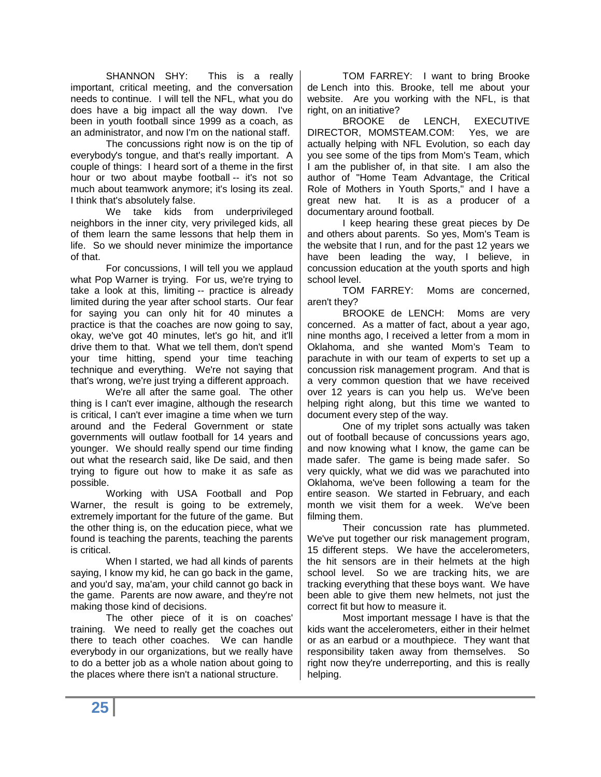SHANNON SHY: This is a really important, critical meeting, and the conversation needs to continue. I will tell the NFL, what you do does have a big impact all the way down. I've been in youth football since 1999 as a coach, as an administrator, and now I'm on the national staff.

The concussions right now is on the tip of everybody's tongue, and that's really important. A couple of things: I heard sort of a theme in the first hour or two about maybe football -- it's not so much about teamwork anymore; it's losing its zeal. I think that's absolutely false.

We take kids from underprivileged neighbors in the inner city, very privileged kids, all of them learn the same lessons that help them in life. So we should never minimize the importance of that.

For concussions, I will tell you we applaud what Pop Warner is trying. For us, we're trying to take a look at this, limiting -- practice is already limited during the year after school starts. Our fear for saying you can only hit for 40 minutes a practice is that the coaches are now going to say, okay, we've got 40 minutes, let's go hit, and it'll drive them to that. What we tell them, don't spend your time hitting, spend your time teaching technique and everything. We're not saying that that's wrong, we're just trying a different approach.

We're all after the same goal. The other thing is I can't ever imagine, although the research is critical, I can't ever imagine a time when we turn around and the Federal Government or state governments will outlaw football for 14 years and younger. We should really spend our time finding out what the research said, like De said, and then trying to figure out how to make it as safe as possible.

Working with USA Football and Pop Warner, the result is going to be extremely, extremely important for the future of the game. But the other thing is, on the education piece, what we found is teaching the parents, teaching the parents is critical.

When I started, we had all kinds of parents saying, I know my kid, he can go back in the game, and you'd say, ma'am, your child cannot go back in the game. Parents are now aware, and they're not making those kind of decisions.

The other piece of it is on coaches' training. We need to really get the coaches out there to teach other coaches. We can handle everybody in our organizations, but we really have to do a better job as a whole nation about going to the places where there isn't a national structure.

TOM FARREY: I want to bring Brooke de Lench into this. Brooke, tell me about your website. Are you working with the NFL, is that right, on an initiative?

BROOKE de LENCH, EXECUTIVE DIRECTOR, MOMSTEAM.COM: Yes, we are actually helping with NFL Evolution, so each day you see some of the tips from Mom's Team, which I am the publisher of, in that site. I am also the author of "Home Team Advantage, the Critical Role of Mothers in Youth Sports," and I have a great new hat. It is as a producer of a documentary around football.

I keep hearing these great pieces by De and others about parents. So yes, Mom's Team is the website that I run, and for the past 12 years we have been leading the way, I believe, in concussion education at the youth sports and high school level.

TOM FARREY: Moms are concerned, aren't they?

BROOKE de LENCH: Moms are very concerned. As a matter of fact, about a year ago, nine months ago, I received a letter from a mom in Oklahoma, and she wanted Mom's Team to parachute in with our team of experts to set up a concussion risk management program. And that is a very common question that we have received over 12 years is can you help us. We've been helping right along, but this time we wanted to document every step of the way.

One of my triplet sons actually was taken out of football because of concussions years ago, and now knowing what I know, the game can be made safer. The game is being made safer. So very quickly, what we did was we parachuted into Oklahoma, we've been following a team for the entire season. We started in February, and each month we visit them for a week. We've been filming them.

Their concussion rate has plummeted. We've put together our risk management program, 15 different steps. We have the accelerometers, the hit sensors are in their helmets at the high school level. So we are tracking hits, we are tracking everything that these boys want. We have been able to give them new helmets, not just the correct fit but how to measure it.

Most important message I have is that the kids want the accelerometers, either in their helmet or as an earbud or a mouthpiece. They want that responsibility taken away from themselves. So right now they're underreporting, and this is really helping.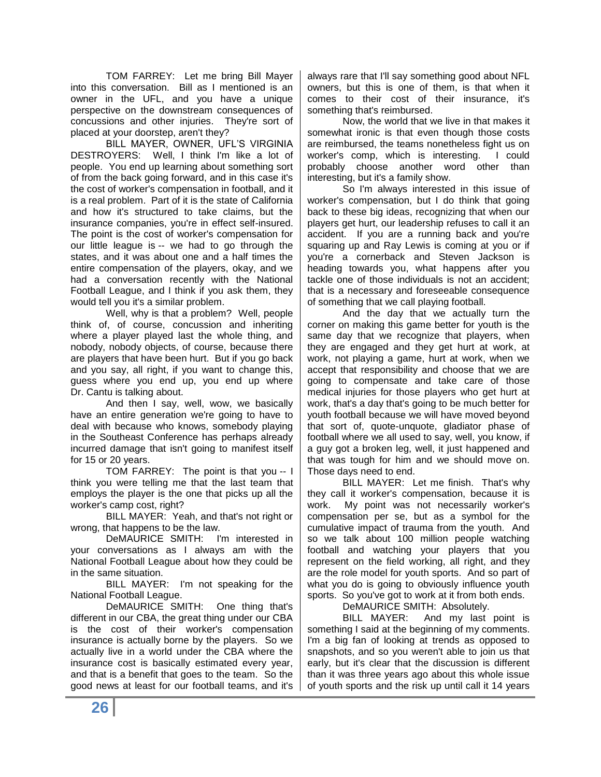TOM FARREY: Let me bring Bill Mayer into this conversation. Bill as I mentioned is an owner in the UFL, and you have a unique perspective on the downstream consequences of concussions and other injuries. They're sort of placed at your doorstep, aren't they?

BILL MAYER, OWNER, UFL'S VIRGINIA DESTROYERS: Well, I think I'm like a lot of people. You end up learning about something sort of from the back going forward, and in this case it's the cost of worker's compensation in football, and it is a real problem. Part of it is the state of California and how it's structured to take claims, but the insurance companies, you're in effect self-insured. The point is the cost of worker's compensation for our little league is -- we had to go through the states, and it was about one and a half times the entire compensation of the players, okay, and we had a conversation recently with the National Football League, and I think if you ask them, they would tell you it's a similar problem.

Well, why is that a problem? Well, people think of, of course, concussion and inheriting where a player played last the whole thing, and nobody, nobody objects, of course, because there are players that have been hurt. But if you go back and you say, all right, if you want to change this, guess where you end up, you end up where Dr. Cantu is talking about.

And then I say, well, wow, we basically have an entire generation we're going to have to deal with because who knows, somebody playing in the Southeast Conference has perhaps already incurred damage that isn't going to manifest itself for 15 or 20 years.

TOM FARREY: The point is that you -- I think you were telling me that the last team that employs the player is the one that picks up all the worker's camp cost, right?

BILL MAYER: Yeah, and that's not right or wrong, that happens to be the law.

DeMAURICE SMITH: I'm interested in your conversations as I always am with the National Football League about how they could be in the same situation.

BILL MAYER: I'm not speaking for the National Football League.

DeMAURICE SMITH: One thing that's different in our CBA, the great thing under our CBA is the cost of their worker's compensation insurance is actually borne by the players. So we actually live in a world under the CBA where the insurance cost is basically estimated every year, and that is a benefit that goes to the team. So the good news at least for our football teams, and it's always rare that I'll say something good about NFL owners, but this is one of them, is that when it comes to their cost of their insurance, it's something that's reimbursed.

Now, the world that we live in that makes it somewhat ironic is that even though those costs are reimbursed, the teams nonetheless fight us on worker's comp, which is interesting. I could probably choose another word other than interesting, but it's a family show.

So I'm always interested in this issue of worker's compensation, but I do think that going back to these big ideas, recognizing that when our players get hurt, our leadership refuses to call it an accident. If you are a running back and you're squaring up and Ray Lewis is coming at you or if you're a cornerback and Steven Jackson is heading towards you, what happens after you tackle one of those individuals is not an accident; that is a necessary and foreseeable consequence of something that we call playing football.

And the day that we actually turn the corner on making this game better for youth is the same day that we recognize that players, when they are engaged and they get hurt at work, at work, not playing a game, hurt at work, when we accept that responsibility and choose that we are going to compensate and take care of those medical injuries for those players who get hurt at work, that's a day that's going to be much better for youth football because we will have moved beyond that sort of, quote-unquote, gladiator phase of football where we all used to say, well, you know, if a guy got a broken leg, well, it just happened and that was tough for him and we should move on. Those days need to end.

BILL MAYER: Let me finish. That's why they call it worker's compensation, because it is work. My point was not necessarily worker's compensation per se, but as a symbol for the cumulative impact of trauma from the youth. And so we talk about 100 million people watching football and watching your players that you represent on the field working, all right, and they are the role model for youth sports. And so part of what you do is going to obviously influence youth sports. So you've got to work at it from both ends.

DeMAURICE SMITH: Absolutely.

BILL MAYER: And my last point is something I said at the beginning of my comments. I'm a big fan of looking at trends as opposed to snapshots, and so you weren't able to join us that early, but it's clear that the discussion is different than it was three years ago about this whole issue of youth sports and the risk up until call it 14 years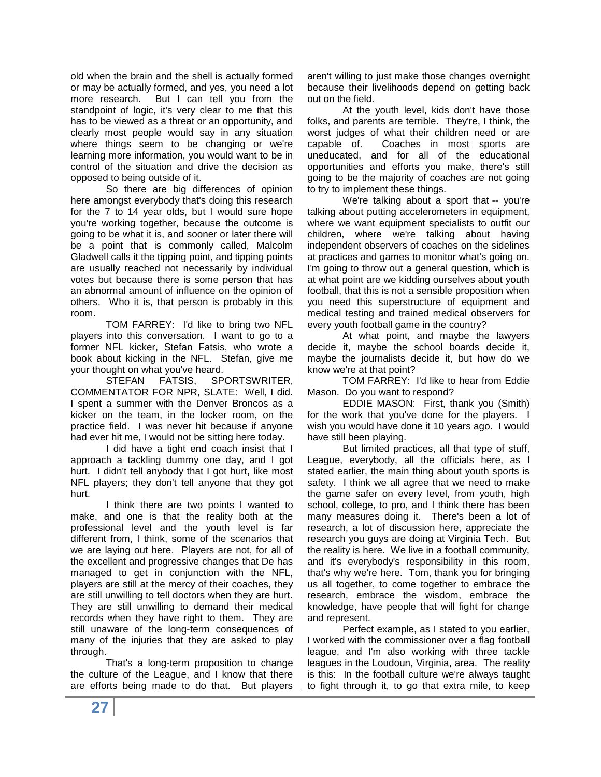old when the brain and the shell is actually formed or may be actually formed, and yes, you need a lot more research. But I can tell you from the standpoint of logic, it's very clear to me that this has to be viewed as a threat or an opportunity, and clearly most people would say in any situation where things seem to be changing or we're learning more information, you would want to be in control of the situation and drive the decision as opposed to being outside of it.

So there are big differences of opinion here amongst everybody that's doing this research for the 7 to 14 year olds, but I would sure hope you're working together, because the outcome is going to be what it is, and sooner or later there will be a point that is commonly called, Malcolm Gladwell calls it the tipping point, and tipping points are usually reached not necessarily by individual votes but because there is some person that has an abnormal amount of influence on the opinion of others. Who it is, that person is probably in this room.

TOM FARREY: I'd like to bring two NFL players into this conversation. I want to go to a former NFL kicker, Stefan Fatsis, who wrote a book about kicking in the NFL. Stefan, give me your thought on what you've heard.

STEFAN FATSIS, SPORTSWRITER, COMMENTATOR FOR NPR, SLATE: Well, I did. I spent a summer with the Denver Broncos as a kicker on the team, in the locker room, on the practice field. I was never hit because if anyone had ever hit me, I would not be sitting here today.

I did have a tight end coach insist that I approach a tackling dummy one day, and I got hurt. I didn't tell anybody that I got hurt, like most NFL players; they don't tell anyone that they got hurt.

I think there are two points I wanted to make, and one is that the reality both at the professional level and the youth level is far different from, I think, some of the scenarios that we are laying out here. Players are not, for all of the excellent and progressive changes that De has managed to get in conjunction with the NFL, players are still at the mercy of their coaches, they are still unwilling to tell doctors when they are hurt. They are still unwilling to demand their medical records when they have right to them. They are still unaware of the long-term consequences of many of the injuries that they are asked to play through.

That's a long-term proposition to change the culture of the League, and I know that there are efforts being made to do that. But players aren't willing to just make those changes overnight because their livelihoods depend on getting back out on the field.

At the youth level, kids don't have those folks, and parents are terrible. They're, I think, the worst judges of what their children need or are capable of. Coaches in most sports are uneducated, and for all of the educational opportunities and efforts you make, there's still going to be the majority of coaches are not going to try to implement these things.

We're talking about a sport that -- you're talking about putting accelerometers in equipment, where we want equipment specialists to outfit our children, where we're talking about having independent observers of coaches on the sidelines at practices and games to monitor what's going on. I'm going to throw out a general question, which is at what point are we kidding ourselves about youth football, that this is not a sensible proposition when you need this superstructure of equipment and medical testing and trained medical observers for every youth football game in the country?

At what point, and maybe the lawyers decide it, maybe the school boards decide it, maybe the journalists decide it, but how do we know we're at that point?

TOM FARREY: I'd like to hear from Eddie Mason. Do you want to respond?

EDDIE MASON: First, thank you (Smith) for the work that you've done for the players. I wish you would have done it 10 years ago. I would have still been playing.

But limited practices, all that type of stuff, League, everybody, all the officials here, as I stated earlier, the main thing about youth sports is safety. I think we all agree that we need to make the game safer on every level, from youth, high school, college, to pro, and I think there has been many measures doing it. There's been a lot of research, a lot of discussion here, appreciate the research you guys are doing at Virginia Tech. But the reality is here. We live in a football community, and it's everybody's responsibility in this room, that's why we're here. Tom, thank you for bringing us all together, to come together to embrace the research, embrace the wisdom, embrace the knowledge, have people that will fight for change and represent.

Perfect example, as I stated to you earlier, I worked with the commissioner over a flag football league, and I'm also working with three tackle leagues in the Loudoun, Virginia, area. The reality is this: In the football culture we're always taught to fight through it, to go that extra mile, to keep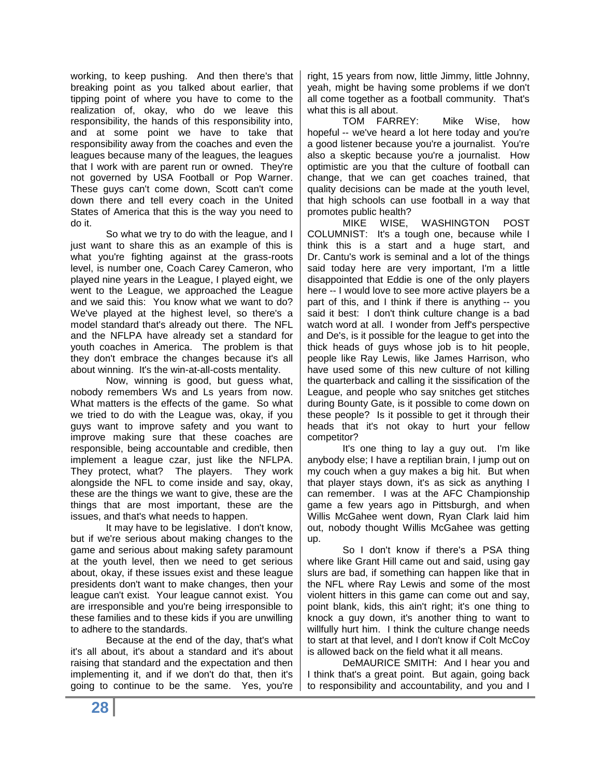working, to keep pushing. And then there's that breaking point as you talked about earlier, that tipping point of where you have to come to the realization of, okay, who do we leave this responsibility, the hands of this responsibility into, and at some point we have to take that responsibility away from the coaches and even the leagues because many of the leagues, the leagues that I work with are parent run or owned. They're not governed by USA Football or Pop Warner. These guys can't come down, Scott can't come down there and tell every coach in the United States of America that this is the way you need to do it.

So what we try to do with the league, and I just want to share this as an example of this is what you're fighting against at the grass-roots level, is number one, Coach Carey Cameron, who played nine years in the League, I played eight, we went to the League, we approached the League and we said this: You know what we want to do? We've played at the highest level, so there's a model standard that's already out there. The NFL and the NFLPA have already set a standard for youth coaches in America. The problem is that they don't embrace the changes because it's all about winning. It's the win-at-all-costs mentality.

Now, winning is good, but guess what, nobody remembers Ws and Ls years from now. What matters is the effects of the game. So what we tried to do with the League was, okay, if you guys want to improve safety and you want to improve making sure that these coaches are responsible, being accountable and credible, then implement a league czar, just like the NFLPA. They protect, what? The players. They work alongside the NFL to come inside and say, okay, these are the things we want to give, these are the things that are most important, these are the issues, and that's what needs to happen.

It may have to be legislative. I don't know, but if we're serious about making changes to the game and serious about making safety paramount at the youth level, then we need to get serious about, okay, if these issues exist and these league presidents don't want to make changes, then your league can't exist. Your league cannot exist. You are irresponsible and you're being irresponsible to these families and to these kids if you are unwilling to adhere to the standards.

Because at the end of the day, that's what it's all about, it's about a standard and it's about raising that standard and the expectation and then implementing it, and if we don't do that, then it's going to continue to be the same. Yes, you're

right, 15 years from now, little Jimmy, little Johnny, yeah, might be having some problems if we don't all come together as a football community. That's what this is all about.

TOM FARREY: Mike Wise, how hopeful -- we've heard a lot here today and you're a good listener because you're a journalist. You're also a skeptic because you're a journalist. How optimistic are you that the culture of football can change, that we can get coaches trained, that quality decisions can be made at the youth level, that high schools can use football in a way that promotes public health?

MIKE WISE, WASHINGTON POST COLUMNIST: It's a tough one, because while I think this is a start and a huge start, and Dr. Cantu's work is seminal and a lot of the things said today here are very important, I'm a little disappointed that Eddie is one of the only players here -- I would love to see more active players be a part of this, and I think if there is anything -- you said it best: I don't think culture change is a bad watch word at all. I wonder from Jeff's perspective and De's, is it possible for the league to get into the thick heads of guys whose job is to hit people, people like Ray Lewis, like James Harrison, who have used some of this new culture of not killing the quarterback and calling it the sissification of the League, and people who say snitches get stitches during Bounty Gate, is it possible to come down on these people? Is it possible to get it through their heads that it's not okay to hurt your fellow competitor?

It's one thing to lay a guy out. I'm like anybody else; I have a reptilian brain, I jump out on my couch when a guy makes a big hit. But when that player stays down, it's as sick as anything I can remember. I was at the AFC Championship game a few years ago in Pittsburgh, and when Willis McGahee went down, Ryan Clark laid him out, nobody thought Willis McGahee was getting up.

So I don't know if there's a PSA thing where like Grant Hill came out and said, using gay slurs are bad, if something can happen like that in the NFL where Ray Lewis and some of the most violent hitters in this game can come out and say, point blank, kids, this ain't right; it's one thing to knock a guy down, it's another thing to want to willfully hurt him. I think the culture change needs to start at that level, and I don't know if Colt McCoy is allowed back on the field what it all means.

DeMAURICE SMITH: And I hear you and I think that's a great point. But again, going back to responsibility and accountability, and you and I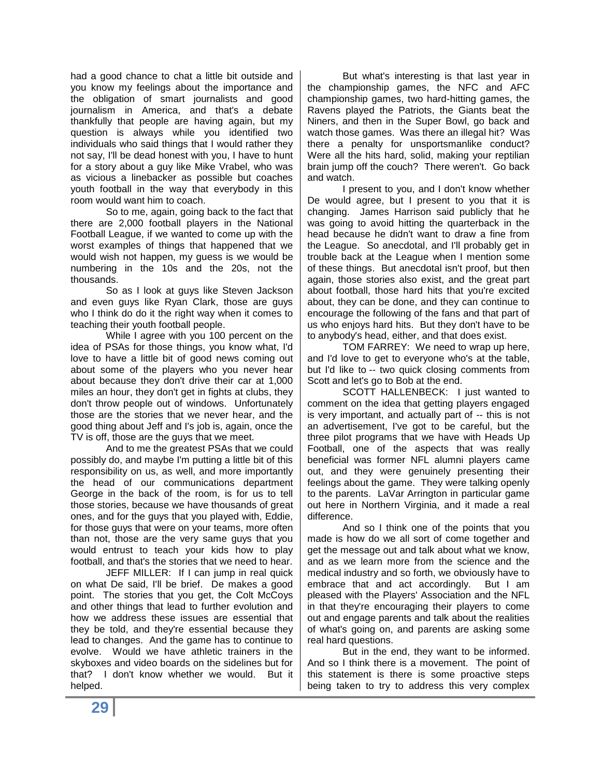had a good chance to chat a little bit outside and you know my feelings about the importance and the obligation of smart journalists and good journalism in America, and that's a debate thankfully that people are having again, but my question is always while you identified two individuals who said things that I would rather they not say, I'll be dead honest with you, I have to hunt for a story about a guy like Mike Vrabel, who was as vicious a linebacker as possible but coaches youth football in the way that everybody in this room would want him to coach.

So to me, again, going back to the fact that there are 2,000 football players in the National Football League, if we wanted to come up with the worst examples of things that happened that we would wish not happen, my guess is we would be numbering in the 10s and the 20s, not the thousands.

So as I look at guys like Steven Jackson and even guys like Ryan Clark, those are guys who I think do do it the right way when it comes to teaching their youth football people.

While I agree with you 100 percent on the idea of PSAs for those things, you know what, I'd love to have a little bit of good news coming out about some of the players who you never hear about because they don't drive their car at 1,000 miles an hour, they don't get in fights at clubs, they don't throw people out of windows. Unfortunately those are the stories that we never hear, and the good thing about Jeff and I's job is, again, once the TV is off, those are the guys that we meet.

And to me the greatest PSAs that we could possibly do, and maybe I'm putting a little bit of this responsibility on us, as well, and more importantly the head of our communications department George in the back of the room, is for us to tell those stories, because we have thousands of great ones, and for the guys that you played with, Eddie, for those guys that were on your teams, more often than not, those are the very same guys that you would entrust to teach your kids how to play football, and that's the stories that we need to hear.

JEFF MILLER: If I can jump in real quick on what De said, I'll be brief. De makes a good point. The stories that you get, the Colt McCoys and other things that lead to further evolution and how we address these issues are essential that they be told, and they're essential because they lead to changes. And the game has to continue to evolve. Would we have athletic trainers in the skyboxes and video boards on the sidelines but for that? I don't know whether we would. But it helped.

But what's interesting is that last year in the championship games, the NFC and AFC championship games, two hard-hitting games, the Ravens played the Patriots, the Giants beat the Niners, and then in the Super Bowl, go back and watch those games. Was there an illegal hit? Was there a penalty for unsportsmanlike conduct? Were all the hits hard, solid, making your reptilian brain jump off the couch? There weren't. Go back and watch.

I present to you, and I don't know whether De would agree, but I present to you that it is changing. James Harrison said publicly that he was going to avoid hitting the quarterback in the head because he didn't want to draw a fine from the League. So anecdotal, and I'll probably get in trouble back at the League when I mention some of these things. But anecdotal isn't proof, but then again, those stories also exist, and the great part about football, those hard hits that you're excited about, they can be done, and they can continue to encourage the following of the fans and that part of us who enjoys hard hits. But they don't have to be to anybody's head, either, and that does exist.

TOM FARREY: We need to wrap up here, and I'd love to get to everyone who's at the table, but I'd like to -- two quick closing comments from Scott and let's go to Bob at the end.

SCOTT HALLENBECK: I just wanted to comment on the idea that getting players engaged is very important, and actually part of -- this is not an advertisement, I've got to be careful, but the three pilot programs that we have with Heads Up Football, one of the aspects that was really beneficial was former NFL alumni players came out, and they were genuinely presenting their feelings about the game. They were talking openly to the parents. LaVar Arrington in particular game out here in Northern Virginia, and it made a real difference.

And so I think one of the points that you made is how do we all sort of come together and get the message out and talk about what we know, and as we learn more from the science and the medical industry and so forth, we obviously have to embrace that and act accordingly. But I am pleased with the Players' Association and the NFL in that they're encouraging their players to come out and engage parents and talk about the realities of what's going on, and parents are asking some real hard questions.

But in the end, they want to be informed. And so I think there is a movement. The point of this statement is there is some proactive steps being taken to try to address this very complex